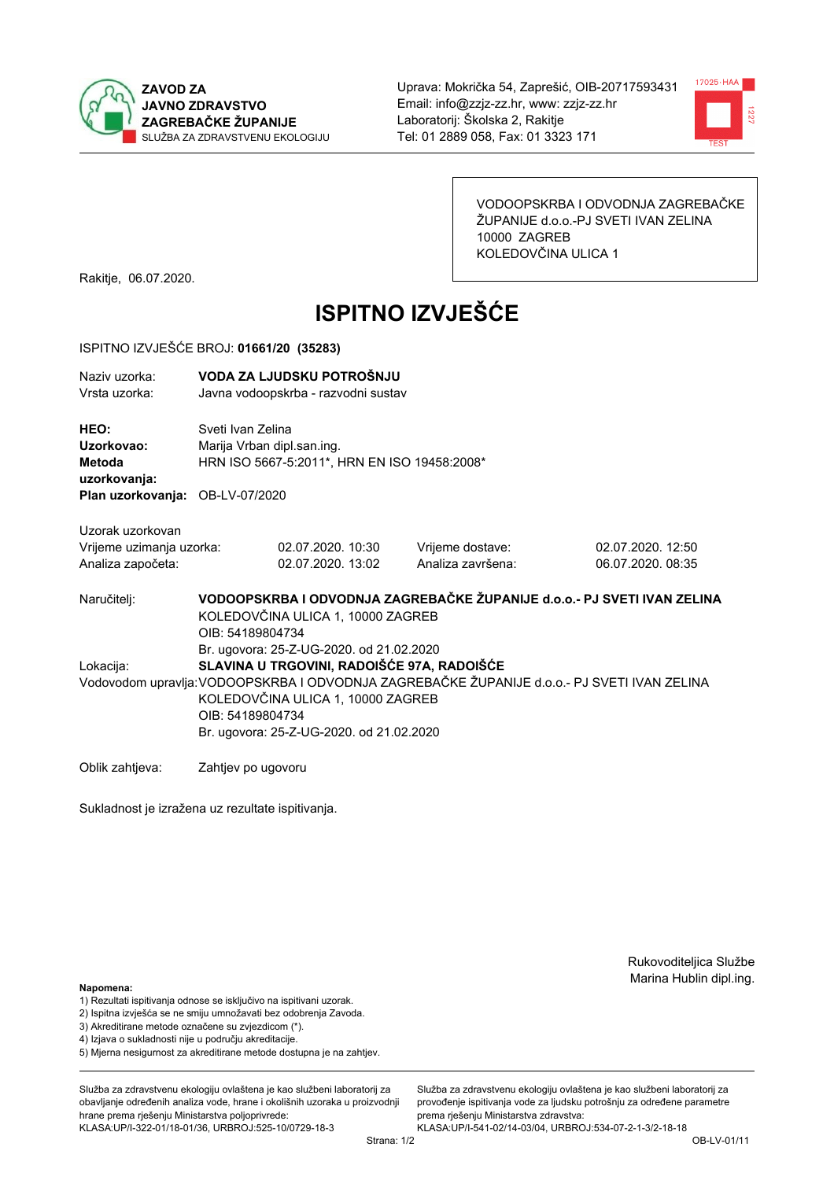



VODOOPSKRBA I ODVODNJA ZAGREBAČKE ŽUPANIJE d.o.o.-PJ SVETI IVAN ZELINA 10000 ZAGREB KOLEDOVČINA ULICA 1

Rakitje, 06.07.2020.

# **ISPITNO IZVJEŠĆE**

### ISPITNO IZVJEŠĆE BROJ: 01661/20 (35283)

| Naziv uzorka:<br>Vrsta uzorka:                                                  |                                                                                                                                                                                                  | VODA ZA LJUDSKU POTROŠNJU<br>Javna vodoopskrba - razvodni sustav                                |                                       |                                        |  |  |
|---------------------------------------------------------------------------------|--------------------------------------------------------------------------------------------------------------------------------------------------------------------------------------------------|-------------------------------------------------------------------------------------------------|---------------------------------------|----------------------------------------|--|--|
| HEO:<br>Uzorkovao:<br>Metoda<br>uzorkovanja:<br>Plan uzorkovanja: OB-LV-07/2020 |                                                                                                                                                                                                  | Sveti Ivan Zelina<br>Marija Vrban dipl.san.ing.<br>HRN ISO 5667-5:2011*, HRN EN ISO 19458:2008* |                                       |                                        |  |  |
|                                                                                 |                                                                                                                                                                                                  |                                                                                                 |                                       |                                        |  |  |
| Uzorak uzorkovan<br>Vrijeme uzimanja uzorka:<br>Analiza započeta:               |                                                                                                                                                                                                  | 02.07.2020, 10:30<br>02.07.2020. 13:02                                                          | Vrijeme dostave:<br>Analiza završena: | 02.07.2020. 12:50<br>06.07.2020, 08:35 |  |  |
| Naručitelj:                                                                     | VODOOPSKRBA I ODVODNJA ZAGREBAČKE ŽUPANIJE d.o.o.- PJ SVETI IVAN ZELINA<br>KOLEDOVČINA ULICA 1, 10000 ZAGREB<br>OIB: 54189804734<br>Br. ugovora: 25-Z-UG-2020. od 21.02.2020                     |                                                                                                 |                                       |                                        |  |  |
| Lokacija:                                                                       |                                                                                                                                                                                                  | SLAVINA U TRGOVINI, RADOIŠĆE 97A, RADOIŠĆE                                                      |                                       |                                        |  |  |
|                                                                                 | Vodovodom upravlja: VODOOPSKRBA I ODVODNJA ZAGREBAČKE ŽUPANIJE d.o.o.- PJ SVETI IVAN ZELINA<br>KOLEDOVČINA ULICA 1, 10000 ZAGREB<br>OIB: 54189804734<br>Br. ugovora: 25-Z-UG-2020. od 21.02.2020 |                                                                                                 |                                       |                                        |  |  |
| Oblik zahtjeva:                                                                 | Zahtjev po ugovoru                                                                                                                                                                               |                                                                                                 |                                       |                                        |  |  |

Sukladnost je izražena uz rezultate ispitivanja.

Rukovoditeljica Službe Marina Hublin dipl.ing.

#### Napomena:

- 1) Rezultati ispitivanja odnose se isključivo na ispitivani uzorak.
- 2) Ispitna izvješća se ne smiju umnožavati bez odobrenja Zavoda.
- 3) Akreditirane metode označene su zvjezdicom (\*).
- 4) Iziava o sukladnosti nije u području akreditacije.
- 5) Mjerna nesigurnost za akreditirane metode dostupna je na zahtjev.

Služba za zdravstvenu ekologiju ovlaštena je kao službeni laboratorij za obavlianie određenih analiza vode, hrane i okolišnih uzoraka u proizvodniji hrane prema rješenju Ministarstva poljoprivrede: KLASA:UP/I-322-01/18-01/36, URBROJ:525-10/0729-18-3

Služba za zdravstvenu ekologiju ovlaštena je kao službeni laboratorij za provođenie ispitivania vode za liudsku potrošniu za određene parametre prema rješenju Ministarstva zdravstva:

KLASA:UP/I-541-02/14-03/04, URBROJ:534-07-2-1-3/2-18-18 Strana: 1/2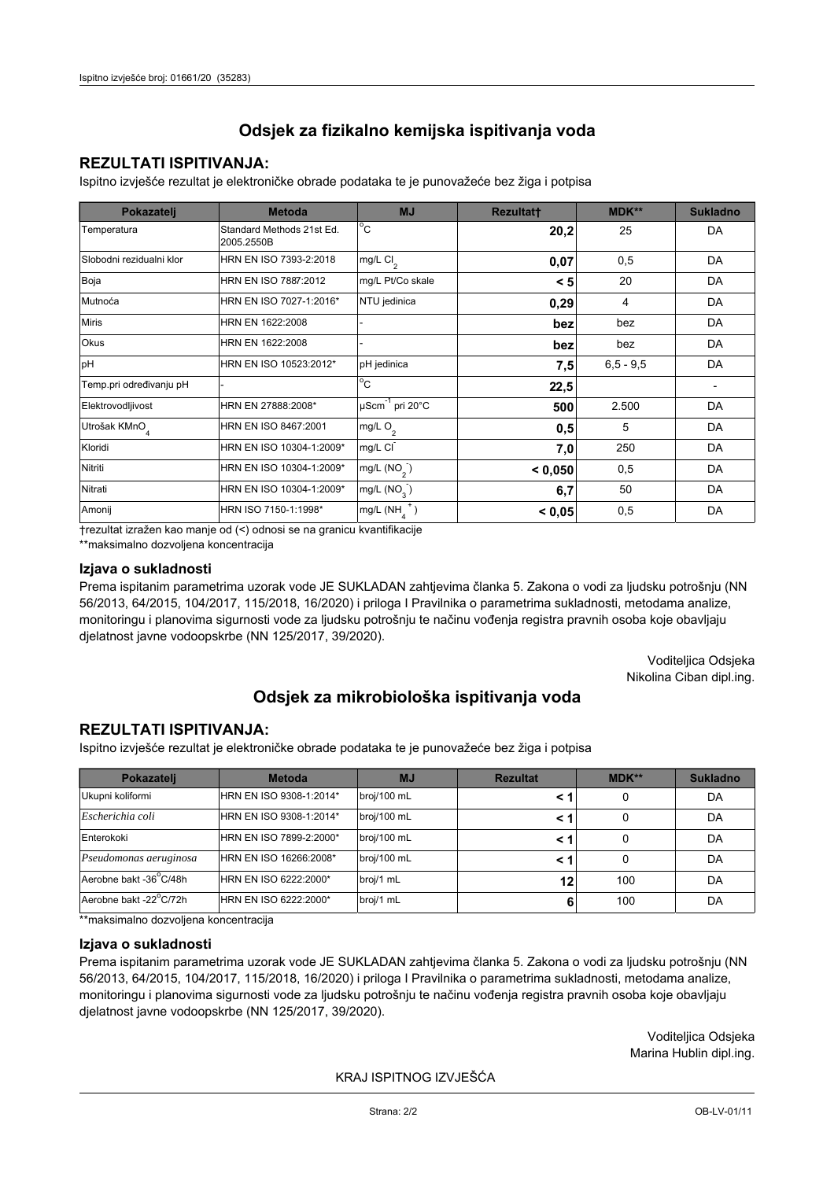## **REZULTATI ISPITIVANJA:**

Ispitno izviešće rezultat je elektroničke obrade podataka te je punovažeće bez žiga i potpisa

| Pokazatelj                | <b>Metoda</b>                           | <b>MJ</b>                   | <b>Rezultatt</b> | <b>MDK**</b>  | <b>Sukladno</b> |
|---------------------------|-----------------------------------------|-----------------------------|------------------|---------------|-----------------|
| Temperatura               | Standard Methods 21st Ed.<br>2005.2550B | $^{\circ}$ C                | 20,2             | 25            | DA              |
| Slobodni rezidualni klor  | HRN EN ISO 7393-2:2018                  | mg/L $Cl2$                  | 0,07             | 0,5           | <b>DA</b>       |
| Boja                      | HRN EN ISO 7887:2012                    | mg/L Pt/Co skale            | < 5              | 20            | DA              |
| Mutnoća                   | HRN EN ISO 7027-1:2016*                 | NTU jedinica                | 0,29             | 4             | DA              |
| <b>Miris</b>              | HRN EN 1622:2008                        |                             | bez              | bez           | DA              |
| Okus                      | HRN EN 1622:2008                        |                             | bez              | bez           | DA              |
| pH                        | HRN EN ISO 10523:2012*                  | pH jedinica                 | 7,5              | $6, 5 - 9, 5$ | DA              |
| Temp.pri određivanju pH   |                                         | $^{\circ}$ C                | 22,5             |               |                 |
| Elektrovodljivost         | HRN EN 27888:2008*                      | µScm <sup>-1</sup> pri 20°C | 500              | 2.500         | DA              |
| Utrošak KMnO <sub>4</sub> | HRN EN ISO 8467:2001                    | mg/L O <sub>2</sub>         | 0,5              | 5             | DA              |
| Kloridi                   | HRN EN ISO 10304-1:2009*                | mg/L CI                     | 7,0              | 250           | DA              |
| Nitriti                   | HRN EN ISO 10304-1:2009*                | mg/L $(NO2)$                | < 0,050          | 0,5           | DA              |
| Nitrati                   | HRN EN ISO 10304-1:2009*                | mg/L $(NO3)$                | 6,7              | 50            | DA              |
| Amonij                    | HRN ISO 7150-1:1998*                    | mg/L (NH                    | < 0,05           | 0,5           | DA              |

trezultat izražen kao manje od (<) odnosi se na granicu kvantifikacije

\*\*maksimalno dozvoljena koncentracija

## Izjava o sukladnosti

Prema ispitanim parametrima uzorak vode JE SUKLADAN zahtievima članka 5. Zakona o vodi za ljudsku potrošnju (NN 56/2013, 64/2015, 104/2017, 115/2018, 16/2020) i priloga I Pravilnika o parametrima sukladnosti, metodama analize, monitoringu i planovima sigurnosti vode za ljudsku potrošnju te načinu vođenja registra pravnih osoba koje obavljaju djelatnost javne vodoopskrbe (NN 125/2017, 39/2020).

> Voditeljica Odsjeka Nikolina Ciban dipl.ing.

## Odsjek za mikrobiološka ispitivanja voda

## **REZULTATI ISPITIVANJA:**

Ispitno izvješće rezultat je elektroničke obrade podataka te je punovažeće bez žiga i potpisa

| Pokazatelj             | <b>Metoda</b>           | <b>MJ</b>   | <b>Rezultat</b> | MDK** | <b>Sukladno</b> |
|------------------------|-------------------------|-------------|-----------------|-------|-----------------|
| Ukupni koliformi       | HRN EN ISO 9308-1:2014* | broj/100 mL |                 | 0     | DA              |
| Escherichia coli       | HRN EN ISO 9308-1:2014* | broj/100 mL |                 | 0     | DA              |
| Enterokoki             | HRN EN ISO 7899-2:2000* | broj/100 mL |                 | 0     | DA              |
| Pseudomonas aeruginosa | HRN EN ISO 16266:2008*  | broj/100 mL | < 1             | 0     | DA              |
| Aerobne bakt -36 C/48h | HRN EN ISO 6222:2000*   | broj/1 mL   | 12              | 100   | DA              |
| Aerobne bakt -22°C/72h | HRN EN ISO 6222:2000*   | broj/1 mL   | 6               | 100   | DA              |

\*\*maksimalno dozvoljena koncentracija

## Izjava o sukladnosti

Prema ispitanim parametrima uzorak vode JE SUKLADAN zahtjevima članka 5. Zakona o vodi za ljudsku potrošnju (NN 56/2013, 64/2015, 104/2017, 115/2018, 16/2020) i priloga I Pravilnika o parametrima sukladnosti, metodama analize, monitoringu i planovima sigurnosti vode za ljudsku potrošnju te načinu vođenja registra pravnih osoba koje obavljaju dielatnost javne vodoopskrbe (NN 125/2017, 39/2020).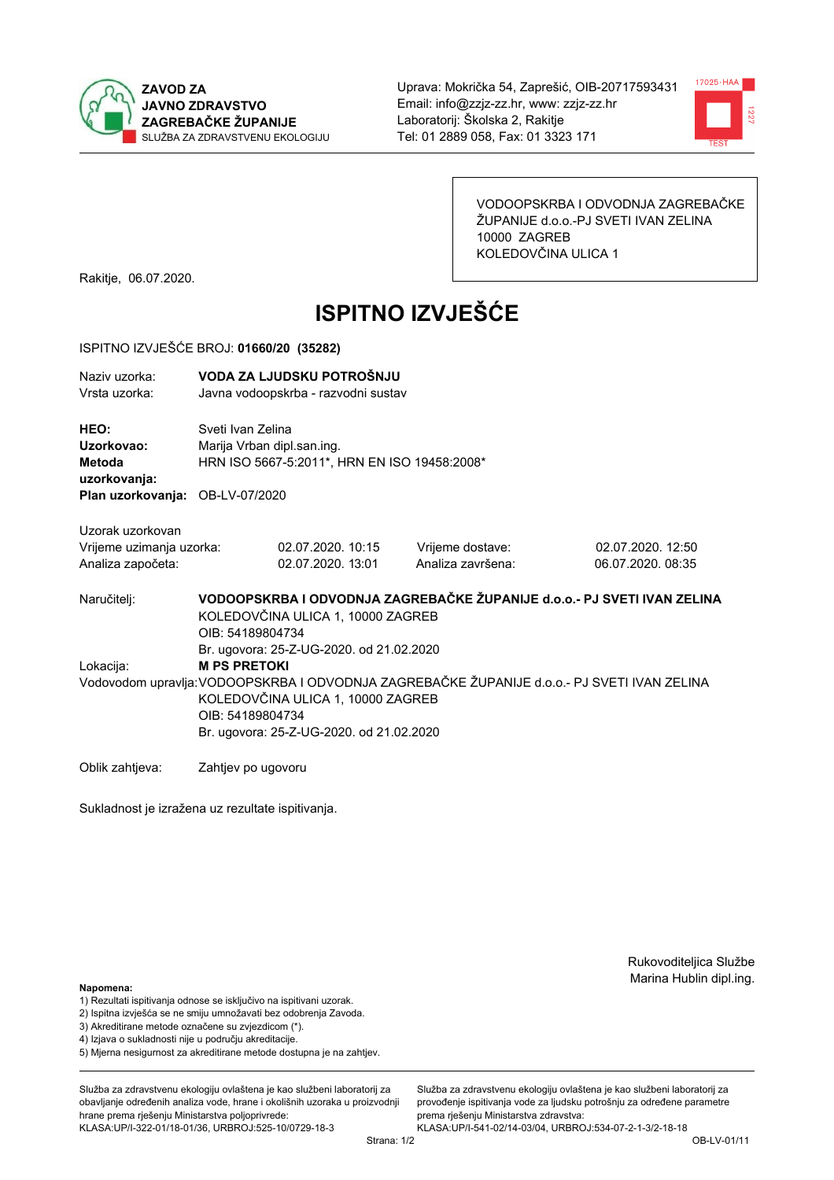



VODOOPSKRBA I ODVODNJA ZAGREBAČKE ŽUPANIJE d.o.o.-PJ SVETI IVAN ZELINA 10000 ZAGREB KOLEDOVČINA ULICA 1

Rakitje, 06.07.2020.

# **ISPITNO IZVJEŠĆE**

### ISPITNO IZVJEŠĆE BROJ: 01660/20 (35282)

| Naziv uzorka:<br>Vrsta uzorka:                                    |                                                                                                                                                                                                  | VODA ZA LJUDSKU POTROŠNJU<br>Javna vodoopskrba - razvodni sustav                                |                                       |                                        |  |  |  |
|-------------------------------------------------------------------|--------------------------------------------------------------------------------------------------------------------------------------------------------------------------------------------------|-------------------------------------------------------------------------------------------------|---------------------------------------|----------------------------------------|--|--|--|
| HEO:<br>Uzorkovao:<br>Metoda<br>uzorkovanja:                      |                                                                                                                                                                                                  | Sveti Ivan Zelina<br>Marija Vrban dipl.san.ing.<br>HRN ISO 5667-5:2011*, HRN EN ISO 19458:2008* |                                       |                                        |  |  |  |
| Plan uzorkovanja: OB-LV-07/2020                                   |                                                                                                                                                                                                  |                                                                                                 |                                       |                                        |  |  |  |
| Uzorak uzorkovan<br>Vrijeme uzimanja uzorka:<br>Analiza započeta: |                                                                                                                                                                                                  | 02.07.2020. 10:15<br>02.07.2020. 13:01                                                          | Vrijeme dostave:<br>Analiza završena: | 02.07.2020. 12:50<br>06.07.2020. 08:35 |  |  |  |
| Naručitelj:                                                       | VODOOPSKRBA I ODVODNJA ZAGREBAČKE ŽUPANIJE d.o.o.- PJ SVETI IVAN ZELINA<br>KOLEDOVČINA ULICA 1, 10000 ZAGREB<br>OIB: 54189804734<br>Br. ugovora: 25-Z-UG-2020. od 21.02.2020                     |                                                                                                 |                                       |                                        |  |  |  |
| Lokacija:                                                         | <b>M PS PRETOKI</b>                                                                                                                                                                              |                                                                                                 |                                       |                                        |  |  |  |
|                                                                   | Vodovodom upravlja: VODOOPSKRBA I ODVODNJA ZAGREBAČKE ŽUPANIJE d.o.o.- PJ SVETI IVAN ZELINA<br>KOLEDOVČINA ULICA 1, 10000 ZAGREB<br>OIB: 54189804734<br>Br. ugovora: 25-Z-UG-2020. od 21.02.2020 |                                                                                                 |                                       |                                        |  |  |  |
| Oblik zahtjeva:                                                   | Zahtjev po ugovoru                                                                                                                                                                               |                                                                                                 |                                       |                                        |  |  |  |

Sukladnost je izražena uz rezultate ispitivanja.

Rukovoditeljica Službe Marina Hublin dipl.ing.

#### Napomena:

- 1) Rezultati ispitivanja odnose se isključivo na ispitivani uzorak.
- 2) Ispitna izvješća se ne smiju umnožavati bez odobrenja Zavoda.
- 3) Akreditirane metode označene su zvjezdicom (\*).
- 4) Iziava o sukladnosti nije u području akreditacije.
- 5) Mjerna nesigurnost za akreditirane metode dostupna je na zahtjev.

Služba za zdravstvenu ekologiju ovlaštena je kao službeni laboratorij za obavlianie određenih analiza vode, hrane i okolišnih uzoraka u proizvodniji hrane prema rješenju Ministarstva poljoprivrede: KLASA:UP/I-322-01/18-01/36, URBROJ:525-10/0729-18-3

Služba za zdravstvenu ekologiju ovlaštena je kao službeni laboratorij za provođenie ispitivania vode za liudsku potrošniu za određene parametre prema rješenju Ministarstva zdravstva:

KLASA:UP/I-541-02/14-03/04, URBROJ:534-07-2-1-3/2-18-18 Strana: 1/2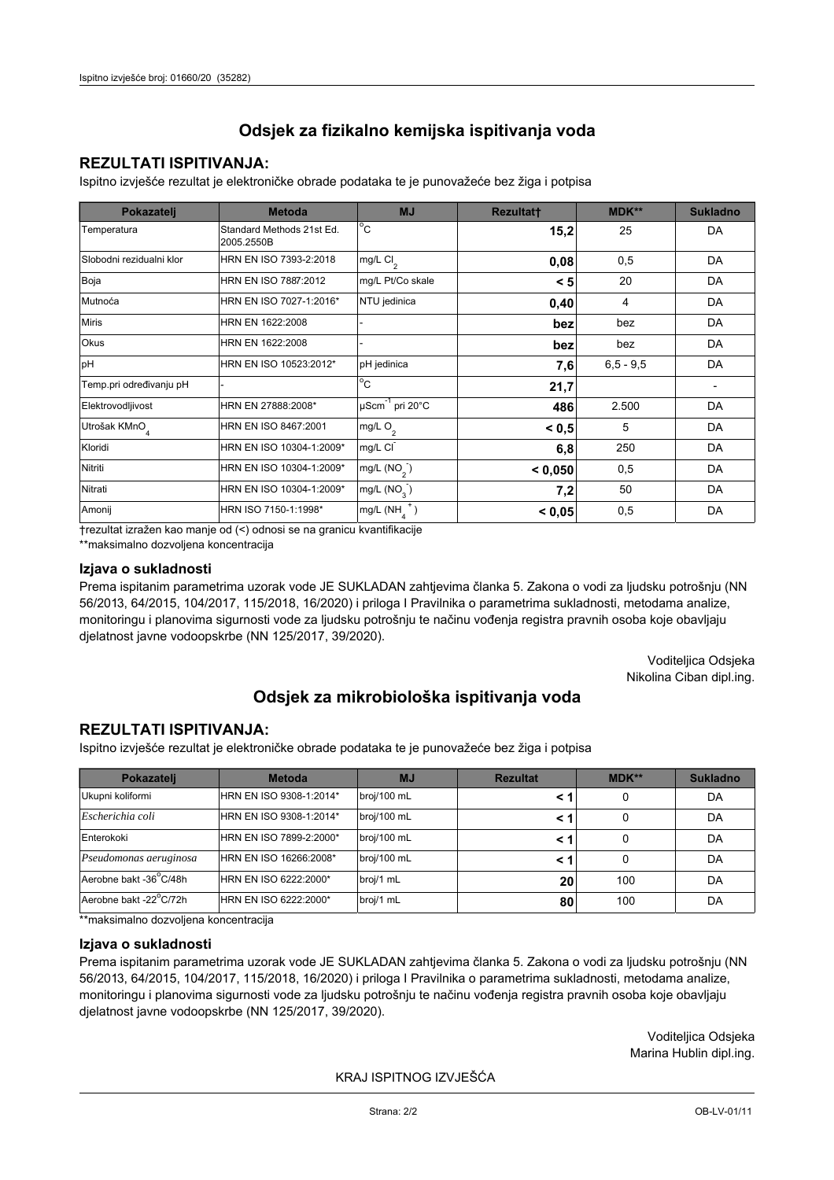## **REZULTATI ISPITIVANJA:**

Ispitno izviešće rezultat je elektroničke obrade podataka te je punovažeće bez žiga i potpisa

| Pokazatelj                | <b>Metoda</b>                           | <b>MJ</b>                   | <b>Rezultatt</b> | MDK**         | <b>Sukladno</b> |
|---------------------------|-----------------------------------------|-----------------------------|------------------|---------------|-----------------|
| Temperatura               | Standard Methods 21st Ed.<br>2005.2550B | $^{\circ}$ C                | 15,2             | 25            | DA              |
| Slobodni rezidualni klor  | HRN EN ISO 7393-2:2018                  | mg/L $Cl2$                  | 0,08             | 0,5           | <b>DA</b>       |
| Boja                      | HRN EN ISO 7887:2012                    | mg/L Pt/Co skale            | < 5              | 20            | DA              |
| Mutnoća                   | HRN EN ISO 7027-1:2016*                 | NTU jedinica                | 0,40             | 4             | DA              |
| <b>Miris</b>              | HRN EN 1622:2008                        |                             | bez              | bez           | DA              |
| Okus                      | HRN EN 1622:2008                        |                             | bez              | bez           | DA              |
| pH                        | HRN EN ISO 10523:2012*                  | pH jedinica                 | 7,6              | $6, 5 - 9, 5$ | DA              |
| Temp.pri određivanju pH   |                                         | $^{\circ}$ C                | 21,7             |               |                 |
| Elektrovodljivost         | HRN EN 27888:2008*                      | µScm <sup>-1</sup> pri 20°C | 486              | 2.500         | DA              |
| Utrošak KMnO <sub>4</sub> | HRN EN ISO 8467:2001                    | mg/L O <sub>2</sub>         | < 0, 5           | 5             | DA              |
| Kloridi                   | HRN EN ISO 10304-1:2009*                | mg/L CI                     | 6,8              | 250           | DA              |
| Nitriti                   | HRN EN ISO 10304-1:2009*                | mg/L $(NO2)$                | < 0,050          | 0,5           | DA              |
| Nitrati                   | HRN EN ISO 10304-1:2009*                | mg/L $(NO3)$                | 7,2              | 50            | DA              |
| Amonij                    | HRN ISO 7150-1:1998*                    | mg/L (NH                    | < 0,05           | 0,5           | DA              |

trezultat izražen kao manje od (<) odnosi se na granicu kvantifikacije

\*\*maksimalno dozvoljena koncentracija

#### Izjava o sukladnosti

Prema ispitanim parametrima uzorak vode JE SUKLADAN zahtievima članka 5. Zakona o vodi za ljudsku potrošnju (NN 56/2013, 64/2015, 104/2017, 115/2018, 16/2020) i priloga I Pravilnika o parametrima sukladnosti, metodama analize, monitoringu i planovima sigurnosti vode za ljudsku potrošnju te načinu vođenja registra pravnih osoba koje obavljaju djelatnost javne vodoopskrbe (NN 125/2017, 39/2020).

> Voditeljica Odsjeka Nikolina Ciban dipl.ing.

## Odsjek za mikrobiološka ispitivanja voda

## **REZULTATI ISPITIVANJA:**

Ispitno izvješće rezultat je elektroničke obrade podataka te je punovažeće bez žiga i potpisa

| Pokazatelj             | <b>Metoda</b>           | <b>MJ</b>   | <b>Rezultat</b> | MDK** | <b>Sukladno</b> |
|------------------------|-------------------------|-------------|-----------------|-------|-----------------|
| Ukupni koliformi       | HRN EN ISO 9308-1:2014* | broj/100 mL |                 | 0     | DA              |
| Escherichia coli       | HRN EN ISO 9308-1:2014* | broj/100 mL |                 | 0     | DA              |
| Enterokoki             | HRN EN ISO 7899-2:2000* | broj/100 mL |                 | 0     | DA              |
| Pseudomonas aeruginosa | HRN EN ISO 16266:2008*  | broj/100 mL | < 1             | 0     | DA              |
| Aerobne bakt -36 C/48h | HRN EN ISO 6222:2000*   | broj/1 mL   | 20              | 100   | DA              |
| Aerobne bakt -22°C/72h | HRN EN ISO 6222:2000*   | broj/1 mL   | 80              | 100   | DA              |

\*\*maksimalno dozvoljena koncentracija

## Izjava o sukladnosti

Prema ispitanim parametrima uzorak vode JE SUKLADAN zahtjevima članka 5. Zakona o vodi za ljudsku potrošnju (NN 56/2013, 64/2015, 104/2017, 115/2018, 16/2020) i priloga I Pravilnika o parametrima sukladnosti, metodama analize, monitoringu i planovima sigurnosti vode za ljudsku potrošnju te načinu vođenja registra pravnih osoba koje obavljaju dielatnost javne vodoopskrbe (NN 125/2017, 39/2020).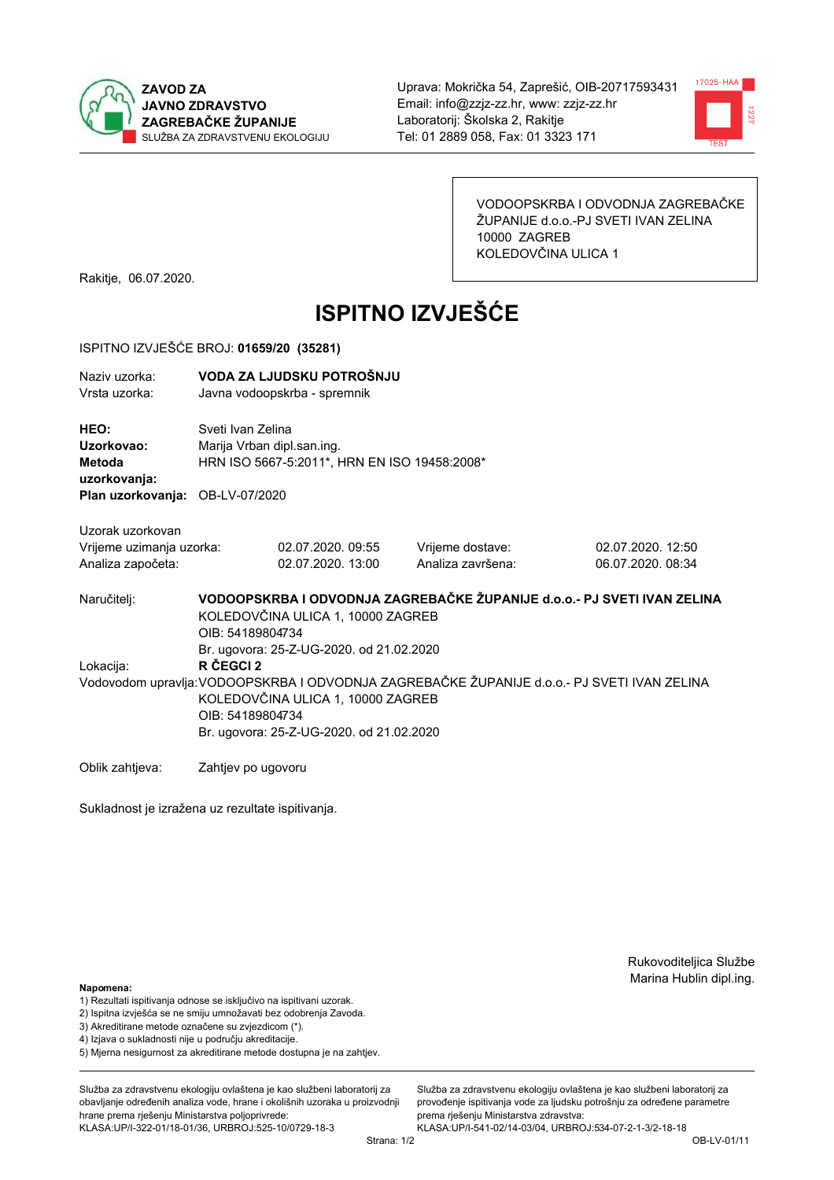



VODOOPSKRBA I ODVODNJA ZAGREBAČKE ŽUPANIJE d.o.o.-PJ SVETI IVAN ZELINA 10000 ZAGREB KOLEDOVČINA ULICA 1

Rakitje, 06.07.2020.

# **ISPITNO IZVJEŠĆE**

#### ISPITNO IZVJEŠĆE BROJ: 01659/20 (35281)

| Naziv uzorka: | VODA ZA LJUDSKU POTROŠNJU    |
|---------------|------------------------------|
| Vrsta uzorka: | Javna vodoopskrba - spremnik |

HEO: Sveti Ivan Zelina Uzorkovao: Marija Vrban dipl.san.ing. Metoda HRN ISO 5667-5:2011\*, HRN EN ISO 19458:2008\* uzorkovanja: Plan uzorkovanja: OB-LV-07/2020

Uzorak uzorkovan

| Vrijeme uzimanja uzorka: | 02.07.2020.09:55  | Vrijeme dostave:  | 02.07.2020. 12:50 |
|--------------------------|-------------------|-------------------|-------------------|
| Analiza započeta:        | 02.07.2020. 13:00 | Analiza završena: | 06.07.2020.08:34  |

VODOOPSKRBA I ODVODNJA ZAGREBAČKE ŽUPANIJE d.o.o. - PJ SVETI IVAN ZELINA Naručitelj: KOLEDOVČINA ULICA 1, 10000 ZAGREB OIB: 54189804734 Br. ugovora: 25-Z-UG-2020, od 21.02.2020 Lokacija: R ČEGCI 2 Vodovodom upravlja: VODOOPSKRBA I ODVODNJA ZAGREBAČKE ŽUPANIJE d.o.o.- PJ SVETI IVAN ZELINA KOLEDOVČINA ULICA 1, 10000 ZAGREB OIB: 54189804734 Br. ugovora: 25-Z-UG-2020. od 21.02.2020

Oblik zahtjeva: Zahtjev po ugovoru

Sukladnost je izražena uz rezultate ispitivanja.

Rukovoditeljica Službe Marina Hublin dipl.ing.

#### Napomena:

- 1) Rezultati ispitivanja odnose se isključivo na ispitivani uzorak.
- 2) Ispitna izvješća se ne smiju umnožavati bez odobrenja Zavoda.

3) Akreditirane metode označene su zvjezdicom (\*).

- 4) Iziava o sukladnosti nije u području akreditacije.
- 5) Mjerna nesigurnost za akreditirane metode dostupna je na zahtjev.

Služba za zdravstvenu ekologiju ovlaštena je kao službeni laboratorij za obavlianie određenih analiza vode, hrane i okolišnih uzoraka u proizvodniji hrane prema rješenju Ministarstva poljoprivrede: KLASA:UP/I-322-01/18-01/36, URBROJ:525-10/0729-18-3

Služba za zdravstvenu ekologiju ovlaštena je kao službeni laboratorij za provođenie ispitivania vode za liudsku potrošniu za određene parametre prema riešenju Ministarstva zdravstva: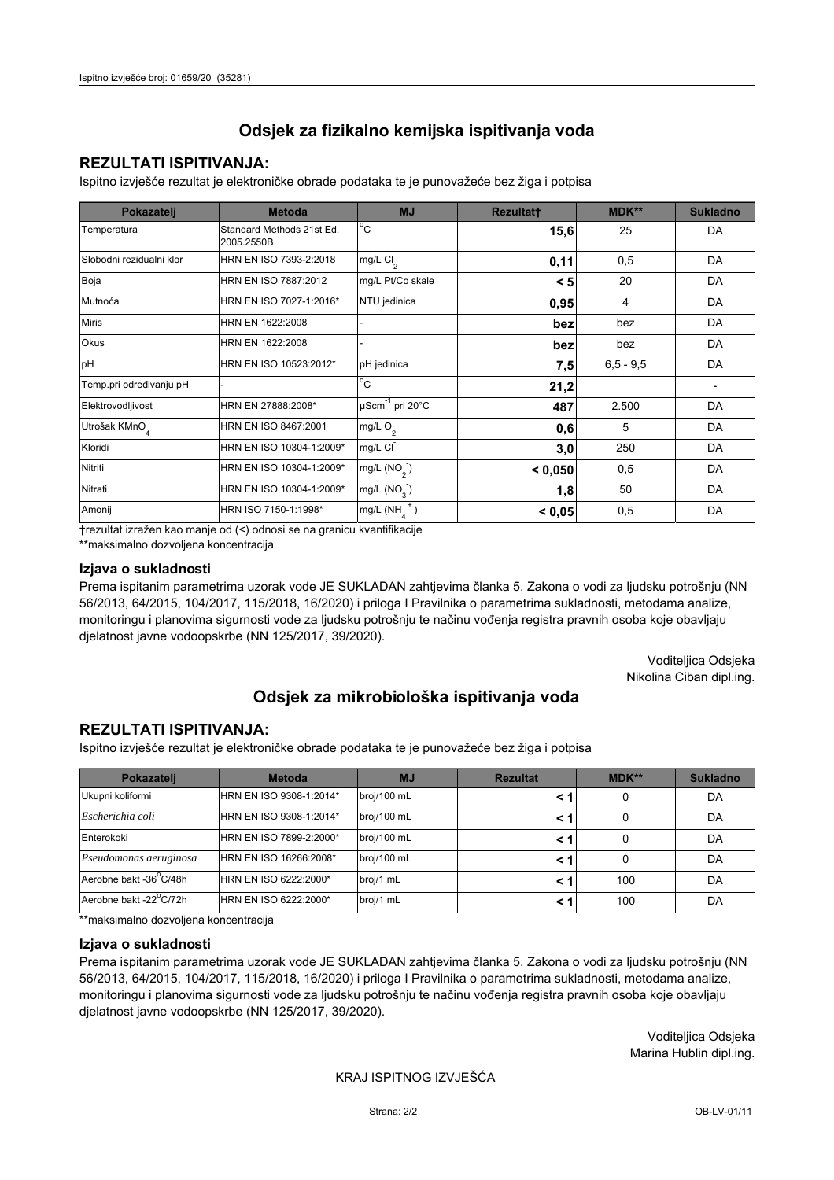## **REZULTATI ISPITIVANJA:**

Ispitno izviešće rezultat je elektroničke obrade podataka te je punovažeće bez žiga i potpisa

| Pokazatelj                | <b>Metoda</b>                           | <b>MJ</b>                   | <b>Rezultatt</b> | MDK**         | <b>Sukladno</b> |
|---------------------------|-----------------------------------------|-----------------------------|------------------|---------------|-----------------|
| Temperatura               | Standard Methods 21st Ed.<br>2005.2550B | $^{\circ}$ C                | 15,6             | 25            | DA              |
| Slobodni rezidualni klor  | HRN EN ISO 7393-2:2018                  | mg/L Cl <sub>2</sub>        | 0,11             | 0,5           | DA              |
| Boja                      | HRN EN ISO 7887:2012                    | mg/L Pt/Co skale            | < 5              | 20            | DA              |
| Mutnoća                   | HRN EN ISO 7027-1:2016*                 | NTU jedinica                | 0,95             | 4             | DA              |
| <b>Miris</b>              | HRN EN 1622:2008                        |                             | bez              | bez           | DA              |
| <b>Okus</b>               | HRN EN 1622:2008                        |                             | bez              | bez           | DA              |
| pH                        | HRN EN ISO 10523:2012*                  | pH jedinica                 | 7,5              | $6, 5 - 9, 5$ | DA              |
| Temp.pri određivanju pH   |                                         | $\overline{C}$              | 21,2             |               |                 |
| Elektrovodljivost         | HRN EN 27888:2008*                      | µScm <sup>-1</sup> pri 20°C | 487              | 2.500         | DA              |
| Utrošak KMnO <sub>4</sub> | HRN EN ISO 8467:2001                    | mg/L O <sub>2</sub>         | 0,6              | 5             | DA              |
| Kloridi                   | HRN EN ISO 10304-1:2009*                | mg/L CI                     | 3,0              | 250           | DA              |
| Nitriti                   | HRN EN ISO 10304-1:2009*                | mg/L $(NO2)$                | < 0,050          | 0,5           | DA              |
| Nitrati                   | HRN EN ISO 10304-1:2009*                | mg/L (NO <sub>3</sub> )     | 1,8              | 50            | DA              |
| Amonij                    | HRN ISO 7150-1:1998*                    | mg/L (NH                    | < 0,05           | 0,5           | DA              |

trezultat izražen kao manje od (<) odnosi se na granicu kvantifikacije

\*\*maksimalno dozvoljena koncentracija

## Izjava o sukladnosti

Prema ispitanim parametrima uzorak vode JE SUKLADAN zahtievima članka 5. Zakona o vodi za ljudsku potrošnju (NN 56/2013, 64/2015, 104/2017, 115/2018, 16/2020) i priloga I Pravilnika o parametrima sukladnosti, metodama analize, monitoringu i planovima sigurnosti vode za ljudsku potrošnju te načinu vođenja registra pravnih osoba koje obavljaju djelatnost javne vodoopskrbe (NN 125/2017, 39/2020).

> Voditeljica Odsjeka Nikolina Ciban dipl.ing.

## Odsjek za mikrobiološka ispitivanja voda

## **REZULTATI ISPITIVANJA:**

Ispitno izvješće rezultat je elektroničke obrade podataka te je punovažeće bez žiga i potpisa

| Pokazatelj             | <b>Metoda</b>           | <b>MJ</b>   | <b>Rezultat</b> | MDK** | <b>Sukladno</b> |
|------------------------|-------------------------|-------------|-----------------|-------|-----------------|
| Ukupni koliformi       | HRN EN ISO 9308-1:2014* | broj/100 mL |                 | 0     | DA              |
| Escherichia coli       | HRN EN ISO 9308-1:2014* | broj/100 mL |                 | 0     | DA              |
| Enterokoki             | HRN EN ISO 7899-2:2000* | broj/100 mL |                 | 0     | DA              |
| Pseudomonas aeruginosa | HRN EN ISO 16266:2008*  | broj/100 mL | < 1             | 0     | DA              |
| Aerobne bakt -36 C/48h | HRN EN ISO 6222:2000*   | broj/1 mL   |                 | 100   | DA              |
| Aerobne bakt -22°C/72h | HRN EN ISO 6222:2000*   | broj/1 mL   |                 | 100   | DA              |

\*\*maksimalno dozvoljena koncentracija

## Izjava o sukladnosti

Prema ispitanim parametrima uzorak vode JE SUKLADAN zahtjevima članka 5. Zakona o vodi za ljudsku potrošnju (NN 56/2013, 64/2015, 104/2017, 115/2018, 16/2020) i priloga I Pravilnika o parametrima sukladnosti, metodama analize, monitoringu i planovima sigurnosti vode za ljudsku potrošnju te načinu vođenja registra pravnih osoba koje obavljaju dielatnost javne vodoopskrbe (NN 125/2017, 39/2020).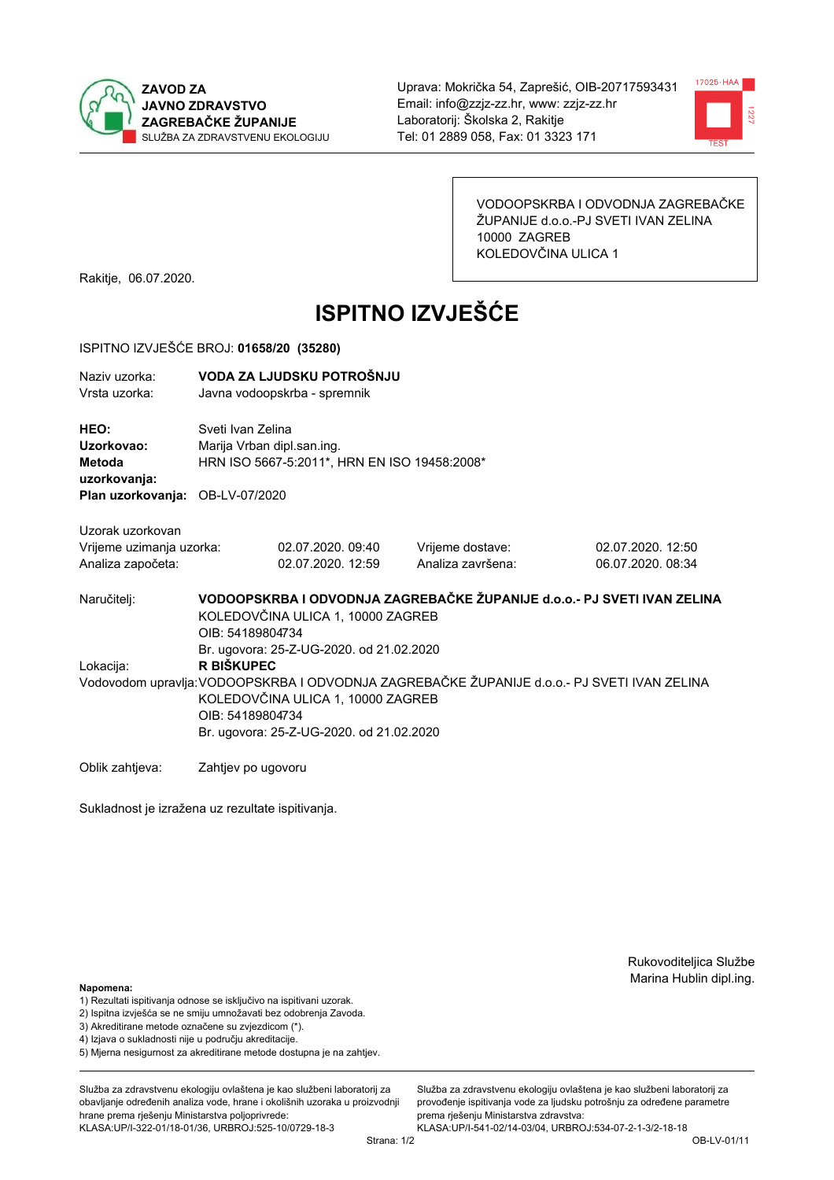



VODOOPSKRBA I ODVODNJA ZAGREBAČKE ŽUPANIJE d.o.o.-PJ SVETI IVAN ZELINA 10000 ZAGREB KOLEDOVČINA ULICA 1

Rakitje, 06.07.2020.

# **ISPITNO IZVJEŠĆE**

#### ISPITNO IZVJEŠĆE BROJ: 01658/20 (35280)

| Naziv uzorka: | VODA ZA LJUDSKU POTROŠNJU    |
|---------------|------------------------------|
| Vrsta uzorka: | Javna vodoopskrba - spremnik |

HEO: Sveti Ivan Zelina Uzorkovao: Marija Vrban dipl.san.ing. Metoda HRN ISO 5667-5:2011\*, HRN EN ISO 19458:2008\* uzorkovanja: Plan uzorkovanja: OB-LV-07/2020

Uzorak uzorkovan Vrijeme uzimanja uzorka: Analiza započeta:

02.07.2020.09:40 02.07.2020, 12:59 Vrijeme dostave: Analiza završena: 02.07.2020. 12:50 06.07.2020. 08:34

VODOOPSKRBA I ODVODNJA ZAGREBAČKE ŽUPANIJE d.o.o. - PJ SVETI IVAN ZELINA Naručitelj: KOLEDOVČINA ULICA 1, 10000 ZAGREB OIB: 54189804734 Br. ugovora: 25-Z-UG-2020, od 21.02.2020 Lokacija: R BIŠKUPEC Vodovodom upravlja: VODOOPSKRBA I ODVODNJA ZAGREBAČKE ŽUPANIJE d.o.o.- PJ SVETI IVAN ZELINA KOLEDOVČINA ULICA 1, 10000 ZAGREB OIB: 54189804734 Br. ugovora: 25-Z-UG-2020. od 21.02.2020

Oblik zahtjeva: Zahtjev po ugovoru

Sukladnost je izražena uz rezultate ispitivanja.

Rukovoditeljica Službe Marina Hublin dipl.ing.

Napomena:

- 1) Rezultati ispitivanja odnose se isključivo na ispitivani uzorak.
- 2) Ispitna izvješća se ne smiju umnožavati bez odobrenja Zavoda.

3) Akreditirane metode označene su zvjezdicom (\*).

- 4) Iziava o sukladnosti nije u područiu akreditacije.
- 5) Mjerna nesigurnost za akreditirane metode dostupna je na zahtjev.

Služba za zdravstvenu ekologiju ovlaštena je kao službeni laboratorij za obavlianie određenih analiza vode, hrane i okolišnih uzoraka u proizvodniji hrane prema rješenju Ministarstva poljoprivrede:

KLASA:UP/I-322-01/18-01/36, URBROJ:525-10/0729-18-3

Služba za zdravstvenu ekologiju ovlaštena je kao službeni laboratorij za provođenie ispitivania vode za liudsku potrošniu za određene parametre prema riešenju Ministarstva zdravstva: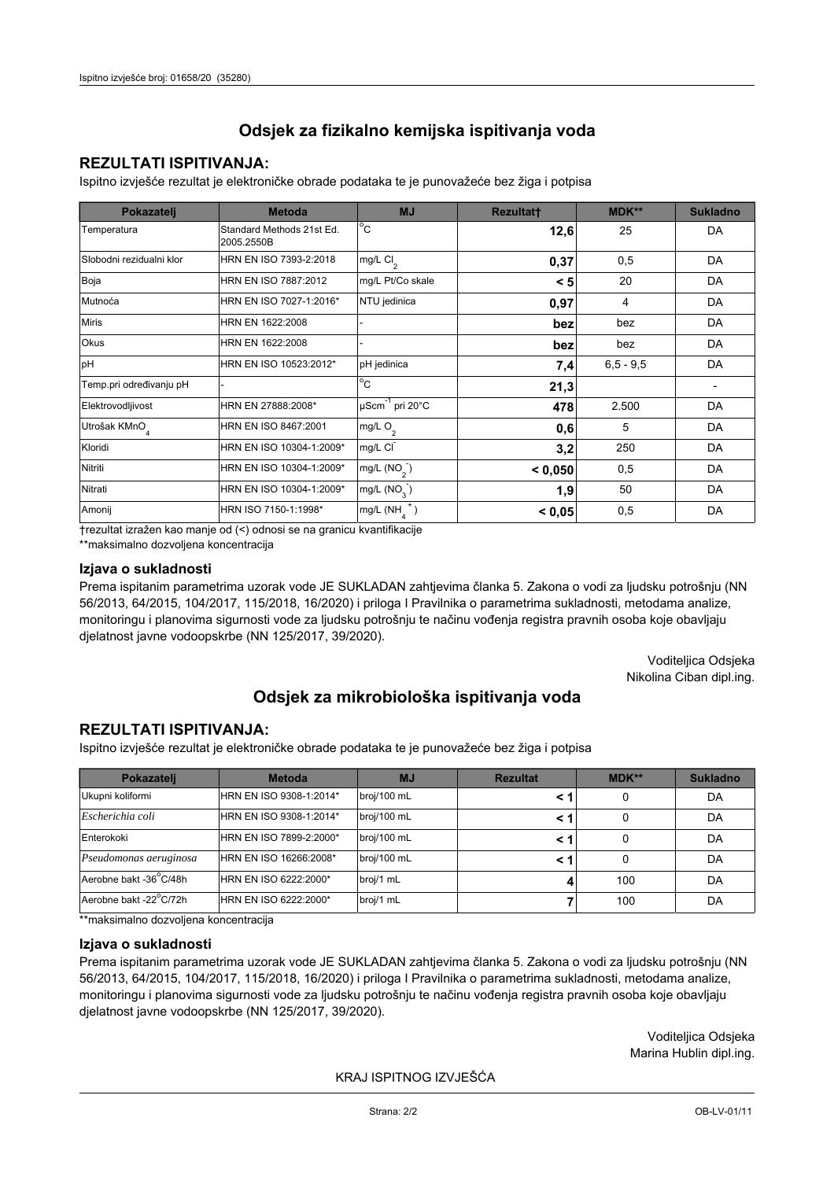## **REZULTATI ISPITIVANJA:**

Ispitno izviešće rezultat je elektroničke obrade podataka te je punovažeće bez žiga i potpisa

| Pokazatelj                | <b>Metoda</b>                           | <b>MJ</b>               | <b>Rezultatt</b> | MDK**         | <b>Sukladno</b> |
|---------------------------|-----------------------------------------|-------------------------|------------------|---------------|-----------------|
| Temperatura               | Standard Methods 21st Ed.<br>2005.2550B | $^{\circ}$ C            | 12,6             | 25            | DA              |
| Slobodni rezidualni klor  | HRN EN ISO 7393-2:2018                  | mg/L $Cl2$              | 0,37             | 0,5           | DA              |
| Boja                      | HRN EN ISO 7887:2012                    | mg/L Pt/Co skale        | < 5              | 20            | DA              |
| Mutnoća                   | HRN EN ISO 7027-1:2016*                 | NTU jedinica            | 0,97             | 4             | DA              |
| <b>Miris</b>              | HRN EN 1622:2008                        |                         | bez              | bez           | DA              |
| Okus                      | HRN EN 1622:2008                        |                         | bez              | bez           | DA              |
| pH                        | HRN EN ISO 10523:2012*                  | pH jedinica             | 7,4              | $6, 5 - 9, 5$ | DA              |
| Temp.pri određivanju pH   |                                         | $^{\circ}$ C            | 21,3             |               |                 |
| Elektrovodljivost         | HRN EN 27888:2008*                      | µScm-1 pri 20°C         | 478              | 2.500         | DA              |
| Utrošak KMnO <sub>4</sub> | HRN EN ISO 8467:2001                    | mg/L $O2$               | 0,6              | 5             | DA              |
| Kloridi                   | HRN EN ISO 10304-1:2009*                | mg/L CI                 | 3,2              | 250           | DA              |
| Nitriti                   | HRN EN ISO 10304-1:2009*                | mg/L $(NO2)$            | < 0.050          | 0,5           | DA              |
| Nitrati                   | HRN EN ISO 10304-1:2009*                | mg/L (NO <sub>3</sub> ) | 1,9              | 50            | DA              |
| Amonij                    | HRN ISO 7150-1:1998*                    | mg/L (NH                | < 0,05           | 0,5           | DA              |

trezultat izražen kao manje od (<) odnosi se na granicu kvantifikacije

\*\*maksimalno dozvoljena koncentracija

#### Izjava o sukladnosti

Prema ispitanim parametrima uzorak vode JE SUKLADAN zahtievima članka 5. Zakona o vodi za ljudsku potrošnju (NN 56/2013, 64/2015, 104/2017, 115/2018, 16/2020) i priloga I Pravilnika o parametrima sukladnosti, metodama analize, monitoringu i planovima sigurnosti vode za ljudsku potrošnju te načinu vođenja registra pravnih osoba koje obavljaju djelatnost javne vodoopskrbe (NN 125/2017, 39/2020).

> Voditeljica Odsjeka Nikolina Ciban dipl.ing.

## Odsjek za mikrobiološka ispitivanja voda

## **REZULTATI ISPITIVANJA:**

Ispitno izvješće rezultat je elektroničke obrade podataka te je punovažeće bez žiga i potpisa

| Pokazatelj             | <b>Metoda</b>           | <b>MJ</b>   | <b>Rezultat</b> | MDK** | <b>Sukladno</b> |
|------------------------|-------------------------|-------------|-----------------|-------|-----------------|
| Ukupni koliformi       | HRN EN ISO 9308-1:2014* | broj/100 mL |                 | 0     | DA              |
| Escherichia coli       | HRN EN ISO 9308-1:2014* | broj/100 mL |                 | 0     | DA              |
| Enterokoki             | HRN EN ISO 7899-2:2000* | broj/100 mL |                 | 0     | DA              |
| Pseudomonas aeruginosa | HRN EN ISO 16266:2008*  | broj/100 mL | < 1             | 0     | DA              |
| Aerobne bakt -36 C/48h | HRN EN ISO 6222:2000*   | broj/1 mL   |                 | 100   | DA              |
| Aerobne bakt -22°C/72h | HRN EN ISO 6222:2000*   | broj/1 mL   |                 | 100   | DA              |

\*\*maksimalno dozvoljena koncentracija

## Izjava o sukladnosti

Prema ispitanim parametrima uzorak vode JE SUKLADAN zahtjevima članka 5. Zakona o vodi za ljudsku potrošnju (NN 56/2013, 64/2015, 104/2017, 115/2018, 16/2020) i priloga I Pravilnika o parametrima sukladnosti, metodama analize, monitoringu i planovima sigurnosti vode za ljudsku potrošnju te načinu vođenja registra pravnih osoba koje obavljaju dielatnost javne vodoopskrbe (NN 125/2017, 39/2020).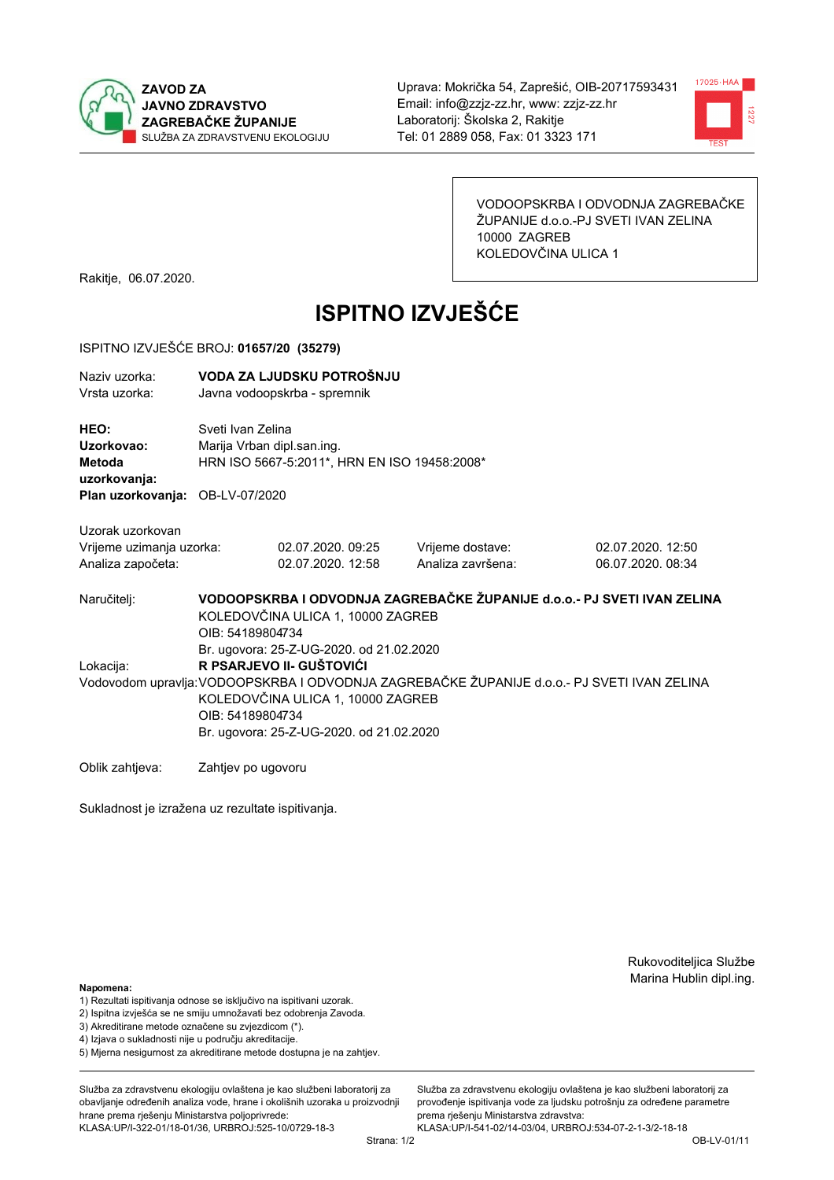



VODOOPSKRBA I ODVODNJA ZAGREBAČKE ŽUPANIJE d.o.o.-PJ SVETI IVAN ZELINA 10000 ZAGREB KOLEDOVČINA ULICA 1

Rakitje, 06.07.2020.

# **ISPITNO IZVJEŠĆE**

#### ISPITNO IZVJEŠĆE BROJ: 01657/20 (35279)

| Naziv uzorka: | VODA ZA LJUDSKU POTROŠNJU    |
|---------------|------------------------------|
| Vrsta uzorka: | Javna vodoopskrba - spremnik |

HEO: Sveti Ivan Zelina Uzorkovao: Marija Vrban dipl.san.ing. Metoda HRN ISO 5667-5:2011\*, HRN EN ISO 19458:2008\* uzorkovanja: Plan uzorkovanja: OB-LV-07/2020

Uzorak uzorkovan Vrijeme uzimanja uzorka: Analiza započeta:

02.07.2020.09:25 02.07.2020. 12:58 Vrijeme dostave: Analiza završena:

02.07.2020. 12:50 06.07.2020. 08:34

VODOOPSKRBA I ODVODNJA ZAGREBAČKE ŽUPANIJE d.o.o. - PJ SVETI IVAN ZELINA Naručitelj: KOLEDOVČINA ULICA 1, 10000 ZAGREB OIB: 54189804734 Br. ugovora: 25-Z-UG-2020, od 21.02.2020 R PSARJEVO II- GUŠTOVIĆI Lokacija: Vodovodom upravlja: VODOOPSKRBA I ODVODNJA ZAGREBAČKE ŽUPANIJE d.o.o.- PJ SVETI IVAN ZELINA KOLEDOVČINA ULICA 1, 10000 ZAGREB OIB: 54189804734 Br. ugovora: 25-Z-UG-2020, od 21.02.2020

Oblik zahtjeva: Zahtjev po ugovoru

Sukladnost je izražena uz rezultate ispitivanja.

Rukovoditeljica Službe Marina Hublin dipl.ing.

Napomena:

- 1) Rezultati ispitivanja odnose se isključivo na ispitivani uzorak.
- 2) Ispitna izvješća se ne smiju umnožavati bez odobrenja Zavoda.

3) Akreditirane metode označene su zvjezdicom (\*).

- 4) Iziava o sukladnosti nije u područiu akreditacije.
- 5) Mjerna nesigurnost za akreditirane metode dostupna je na zahtjev.

Služba za zdravstvenu ekologiju ovlaštena je kao službeni laboratorij za obavlianie određenih analiza vode, hrane i okolišnih uzoraka u proizvodniji hrane prema rješenju Ministarstva poljoprivrede: KLASA:UP/I-322-01/18-01/36, URBROJ:525-10/0729-18-3

Služba za zdravstvenu ekologiju ovlaštena je kao službeni laboratorij za provođenie ispitivania vode za liudsku potrošniu za određene parametre prema riešenju Ministarstva zdravstva: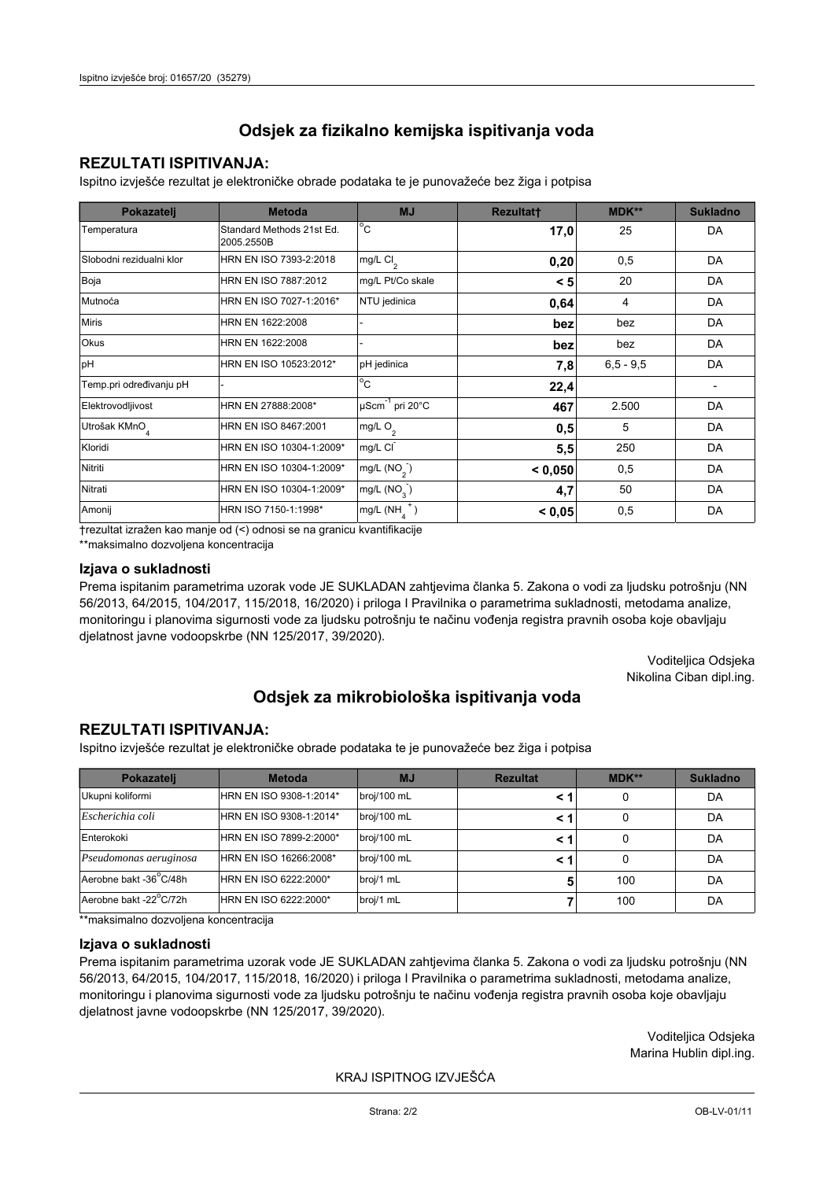## **REZULTATI ISPITIVANJA:**

Ispitno izviešće rezultat je elektroničke obrade podataka te je punovažeće bez žiga i potpisa

| Pokazatelj                | <b>Metoda</b>                           | <b>MJ</b>               | <b>Rezultatt</b> | MDK**         | <b>Sukladno</b> |
|---------------------------|-----------------------------------------|-------------------------|------------------|---------------|-----------------|
| Temperatura               | Standard Methods 21st Ed.<br>2005.2550B | $^{\circ}$ C            | 17,0             | 25            | DA              |
| Slobodni rezidualni klor  | HRN EN ISO 7393-2:2018                  | mg/L $Cl2$              | 0,20             | 0,5           | DA              |
| Boja                      | HRN EN ISO 7887:2012                    | mg/L Pt/Co skale        | < 5              | 20            | DA              |
| Mutnoća                   | HRN EN ISO 7027-1:2016*                 | NTU jedinica            | 0,64             | 4             | DA              |
| <b>Miris</b>              | HRN EN 1622:2008                        |                         | bez              | bez           | DA              |
| Okus                      | HRN EN 1622:2008                        |                         | bez              | bez           | DA              |
| pH                        | HRN EN ISO 10523:2012*                  | pH jedinica             | 7,8              | $6, 5 - 9, 5$ | DA              |
| Temp.pri određivanju pH   |                                         | $^{\circ}$ C            | 22,4             |               |                 |
| Elektrovodljivost         | HRN EN 27888:2008*                      | µScm-1 pri 20°C         | 467              | 2.500         | DA              |
| Utrošak KMnO <sub>4</sub> | HRN EN ISO 8467:2001                    | mg/L $O2$               | 0,5              | 5             | DA              |
| Kloridi                   | HRN EN ISO 10304-1:2009*                | mg/L CI                 | 5,5              | 250           | DA              |
| Nitriti                   | HRN EN ISO 10304-1:2009*                | mg/L $(NO2)$            | < 0.050          | 0,5           | DA              |
| Nitrati                   | HRN EN ISO 10304-1:2009*                | mg/L (NO <sub>3</sub> ) | 4,7              | 50            | DA              |
| Amonij                    | HRN ISO 7150-1:1998*                    | mg/L (NH                | < 0,05           | 0,5           | DA              |

trezultat izražen kao manje od (<) odnosi se na granicu kvantifikacije

\*\*maksimalno dozvoljena koncentracija

#### Izjava o sukladnosti

Prema ispitanim parametrima uzorak vode JE SUKLADAN zahtievima članka 5. Zakona o vodi za ljudsku potrošnju (NN 56/2013, 64/2015, 104/2017, 115/2018, 16/2020) i priloga I Pravilnika o parametrima sukladnosti, metodama analize, monitoringu i planovima sigurnosti vode za ljudsku potrošnju te načinu vođenja registra pravnih osoba koje obavljaju djelatnost javne vodoopskrbe (NN 125/2017, 39/2020).

> Voditeljica Odsjeka Nikolina Ciban dipl.ing.

## Odsjek za mikrobiološka ispitivanja voda

## **REZULTATI ISPITIVANJA:**

Ispitno izvješće rezultat je elektroničke obrade podataka te je punovažeće bez žiga i potpisa

| Pokazatelj             | <b>Metoda</b>           | <b>MJ</b>   | <b>Rezultat</b> | MDK** | <b>Sukladno</b> |
|------------------------|-------------------------|-------------|-----------------|-------|-----------------|
| Ukupni koliformi       | HRN EN ISO 9308-1:2014* | broj/100 mL |                 | 0     | DA              |
| Escherichia coli       | HRN EN ISO 9308-1:2014* | broj/100 mL |                 | 0     | DA              |
| Enterokoki             | HRN EN ISO 7899-2:2000* | broj/100 mL |                 | 0     | DA              |
| Pseudomonas aeruginosa | HRN EN ISO 16266:2008*  | broj/100 mL | < 1             | 0     | DA              |
| Aerobne bakt -36 C/48h | HRN EN ISO 6222:2000*   | broj/1 mL   |                 | 100   | DA              |
| Aerobne bakt -22°C/72h | HRN EN ISO 6222:2000*   | broj/1 mL   |                 | 100   | DA              |

\*\*maksimalno dozvoljena koncentracija

## Izjava o sukladnosti

Prema ispitanim parametrima uzorak vode JE SUKLADAN zahtjevima članka 5. Zakona o vodi za ljudsku potrošnju (NN 56/2013, 64/2015, 104/2017, 115/2018, 16/2020) i priloga I Pravilnika o parametrima sukladnosti, metodama analize, monitoringu i planovima sigurnosti vode za ljudsku potrošnju te načinu vođenja registra pravnih osoba koje obavljaju dielatnost javne vodoopskrbe (NN 125/2017, 39/2020).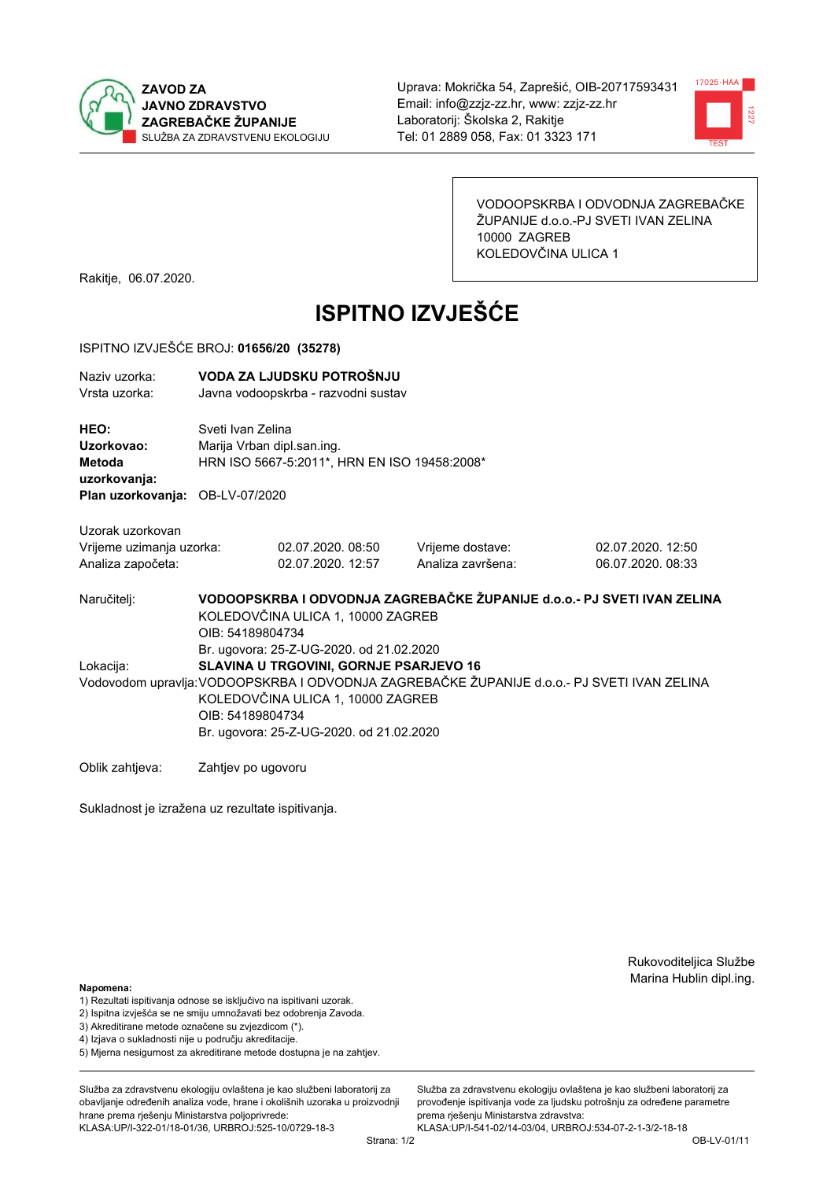



VODOOPSKRBA I ODVODNJA ZAGREBAČKE ŽUPANIJE d.o.o.-PJ SVETI IVAN ZELINA 10000 ZAGREB KOLEDOVČINA ULICA 1

Rakitje, 06.07.2020.

# **ISPITNO IZVJEŠĆE**

### ISPITNO IZVJEŠĆE BROJ: 01656/20 (35278)

| Naziv uzorka:<br>Vrsta uzorka:                                                  | VODA ZA LJUDSKU POTROŠNJU<br>Javna vodoopskrba - razvodni sustav                                                                                                                                                                           |                                        |                                       |                                        |  |  |
|---------------------------------------------------------------------------------|--------------------------------------------------------------------------------------------------------------------------------------------------------------------------------------------------------------------------------------------|----------------------------------------|---------------------------------------|----------------------------------------|--|--|
| HEO:<br>Uzorkovao:<br>Metoda<br>uzorkovanja:<br>Plan uzorkovanja: OB-LV-07/2020 | Sveti Ivan Zelina<br>Marija Vrban dipl.san.ing.<br>HRN ISO 5667-5:2011*, HRN EN ISO 19458:2008*                                                                                                                                            |                                        |                                       |                                        |  |  |
| Uzorak uzorkovan<br>Vrijeme uzimanja uzorka:<br>Analiza započeta:               |                                                                                                                                                                                                                                            | 02.07.2020, 08:50<br>02.07.2020. 12:57 | Vrijeme dostave:<br>Analiza završena: | 02.07.2020, 12:50<br>06.07.2020. 08:33 |  |  |
| Naručitelj:                                                                     | VODOOPSKRBA I ODVODNJA ZAGREBAČKE ŽUPANIJE d.o.o.- PJ SVETI IVAN ZELINA<br>KOLEDOVČINA ULICA 1, 10000 ZAGREB<br>OIB: 54189804734<br>Br. ugovora: 25-Z-UG-2020. od 21.02.2020                                                               |                                        |                                       |                                        |  |  |
| Lokacija:                                                                       | SLAVINA U TRGOVINI, GORNJE PSARJEVO 16<br>Vodovodom upravlja: VODOOPSKRBA I ODVODNJA ZAGREBAČKE ŽUPANIJE d.o.o.- PJ SVETI IVAN ZELINA<br>KOLEDOVČINA ULICA 1, 10000 ZAGREB<br>OIB: 54189804734<br>Br. ugovora: 25-Z-UG-2020. od 21.02.2020 |                                        |                                       |                                        |  |  |
| Oblik zahtjeva:                                                                 | Zahtjev po ugovoru                                                                                                                                                                                                                         |                                        |                                       |                                        |  |  |

Sukladnost je izražena uz rezultate ispitivanja.

Rukovoditeljica Službe Marina Hublin dipl.ing.

#### Napomena:

- 1) Rezultati ispitivanja odnose se isključivo na ispitivani uzorak.
- 2) Ispitna izvješća se ne smiju umnožavati bez odobrenja Zavoda.
- 3) Akreditirane metode označene su zvjezdicom (\*).
- 4) Iziava o sukladnosti nije u području akreditacije.
- 5) Mjerna nesigurnost za akreditirane metode dostupna je na zahtjev.

Služba za zdravstvenu ekologiju ovlaštena je kao službeni laboratorij za obavlianie određenih analiza vode, hrane i okolišnih uzoraka u proizvodniji hrane prema rješenju Ministarstva poljoprivrede: KLASA:UP/I-322-01/18-01/36, URBROJ:525-10/0729-18-3

Služba za zdravstvenu ekologiju ovlaštena je kao službeni laboratorij za provođenie ispitivania vode za liudsku potrošniu za određene parametre prema rješenju Ministarstva zdravstva: KLASA:UP/I-541-02/14-03/04, URBROJ:534-07-2-1-3/2-18-18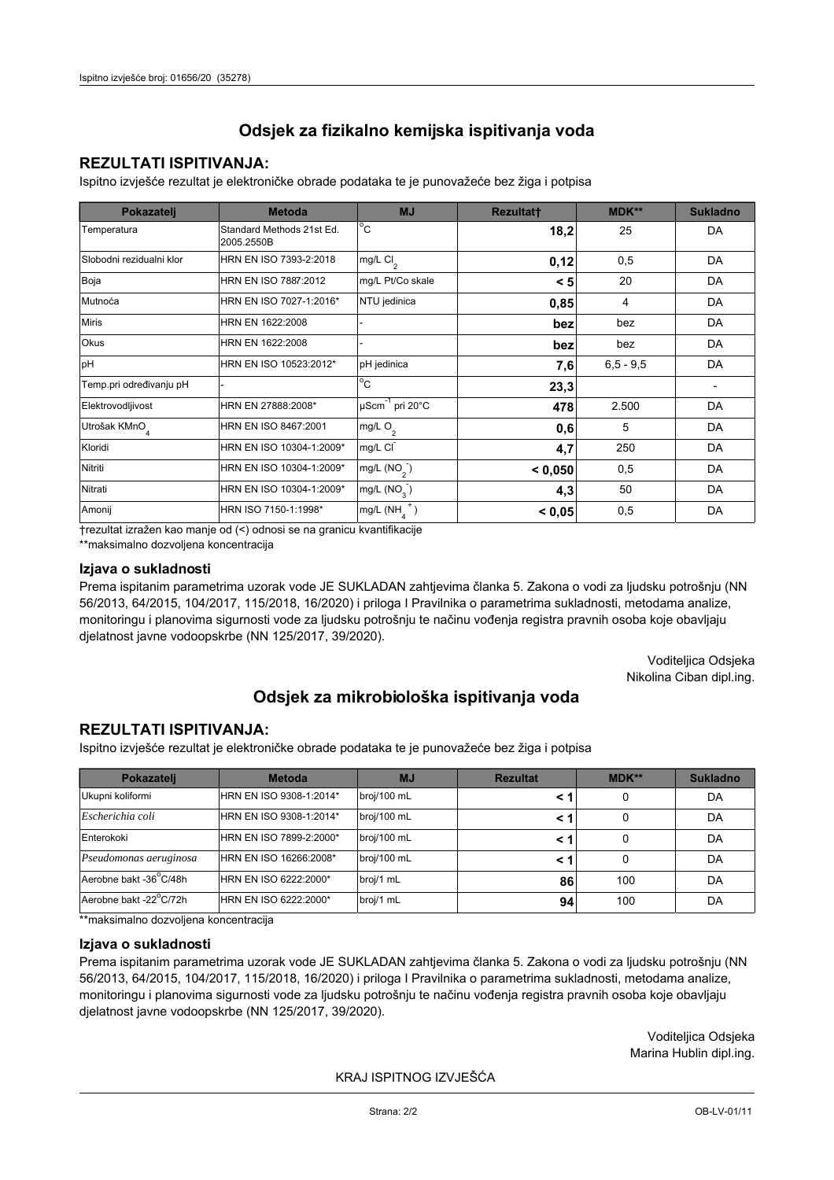## **REZULTATI ISPITIVANJA:**

Ispitno izviešće rezultat je elektroničke obrade podataka te je punovažeće bez žiga i potpisa

| Pokazatelj                | <b>Metoda</b>                           | <b>MJ</b>                   | <b>Rezultatt</b> | MDK**         | <b>Sukladno</b> |
|---------------------------|-----------------------------------------|-----------------------------|------------------|---------------|-----------------|
| Temperatura               | Standard Methods 21st Ed.<br>2005.2550B | $^{\circ}$ C                | 18,2             | 25            | DA              |
| Slobodni rezidualni klor  | HRN EN ISO 7393-2:2018                  | mg/L Cl <sub>2</sub>        | 0,12             | 0,5           | DA              |
| Boja                      | HRN EN ISO 7887:2012                    | mg/L Pt/Co skale            | < 5              | 20            | DA              |
| Mutnoća                   | HRN EN ISO 7027-1:2016*                 | NTU jedinica                | 0,85             | 4             | DA              |
| <b>Miris</b>              | HRN EN 1622:2008                        |                             | bez              | bez           | DA              |
| <b>Okus</b>               | HRN EN 1622:2008                        |                             | bez              | bez           | DA              |
| pH                        | HRN EN ISO 10523:2012*                  | pH jedinica                 | 7,6              | $6, 5 - 9, 5$ | DA              |
| Temp.pri određivanju pH   |                                         | $\overline{C}$              | 23,3             |               |                 |
| Elektrovodljivost         | HRN EN 27888:2008*                      | µScm <sup>-1</sup> pri 20°C | 478              | 2.500         | DA              |
| Utrošak KMnO <sub>4</sub> | HRN EN ISO 8467:2001                    | mg/L O <sub>2</sub>         | 0,6              | 5             | DA              |
| Kloridi                   | HRN EN ISO 10304-1:2009*                | mg/L CI                     | 4,7              | 250           | DA              |
| Nitriti                   | HRN EN ISO 10304-1:2009*                | mg/L $(NO2)$                | < 0,050          | 0,5           | DA              |
| Nitrati                   | HRN EN ISO 10304-1:2009*                | mg/L (NO <sub>3</sub> )     | 4,3              | 50            | DA              |
| Amonij                    | HRN ISO 7150-1:1998*                    | mg/L (NH                    | < 0,05           | 0,5           | DA              |

trezultat izražen kao manje od (<) odnosi se na granicu kvantifikacije

\*\*maksimalno dozvoljena koncentracija

## Izjava o sukladnosti

Prema ispitanim parametrima uzorak vode JE SUKLADAN zahtievima članka 5. Zakona o vodi za ljudsku potrošnju (NN 56/2013, 64/2015, 104/2017, 115/2018, 16/2020) i priloga I Pravilnika o parametrima sukladnosti, metodama analize, monitoringu i planovima sigurnosti vode za ljudsku potrošnju te načinu vođenja registra pravnih osoba koje obavljaju djelatnost javne vodoopskrbe (NN 125/2017, 39/2020).

> Voditeljica Odsjeka Nikolina Ciban dipl.ing.

## Odsjek za mikrobiološka ispitivanja voda

## **REZULTATI ISPITIVANJA:**

Ispitno izvješće rezultat je elektroničke obrade podataka te je punovažeće bez žiga i potpisa

| Pokazatelj             | <b>Metoda</b>           | <b>MJ</b>   | <b>Rezultat</b> | MDK** | <b>Sukladno</b> |
|------------------------|-------------------------|-------------|-----------------|-------|-----------------|
| Ukupni koliformi       | HRN EN ISO 9308-1:2014* | broj/100 mL |                 | 0     | DA              |
| Escherichia coli       | HRN EN ISO 9308-1:2014* | broj/100 mL |                 | 0     | DA              |
| Enterokoki             | HRN EN ISO 7899-2:2000* | broj/100 mL |                 | 0     | DA              |
| Pseudomonas aeruginosa | HRN EN ISO 16266:2008*  | broj/100 mL | < 1             | 0     | DA              |
| Aerobne bakt -36 C/48h | HRN EN ISO 6222:2000*   | broj/1 mL   | 86              | 100   | DA              |
| Aerobne bakt -22°C/72h | HRN EN ISO 6222:2000*   | broj/1 mL   | 94 <sub>1</sub> | 100   | DA              |

\*\*maksimalno dozvoljena koncentracija

#### Izjava o sukladnosti

Prema ispitanim parametrima uzorak vode JE SUKLADAN zahtjevima članka 5. Zakona o vodi za ljudsku potrošnju (NN 56/2013, 64/2015, 104/2017, 115/2018, 16/2020) i priloga I Pravilnika o parametrima sukladnosti, metodama analize, monitoringu i planovima sigurnosti vode za ljudsku potrošnju te načinu vođenja registra pravnih osoba koje obavljaju dielatnost javne vodoopskrbe (NN 125/2017, 39/2020).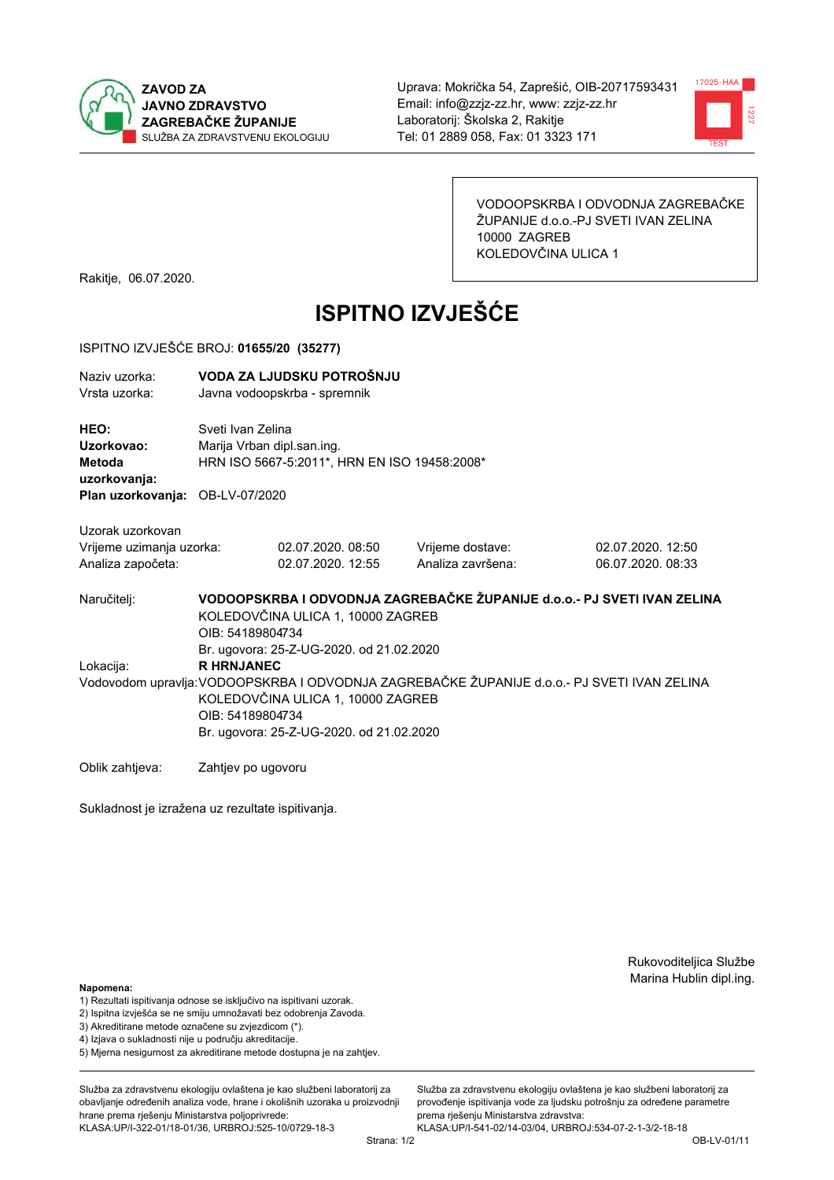



VODOOPSKRBA I ODVODNJA ZAGREBAČKE ŽUPANIJE d.o.o.-PJ SVETI IVAN ZELINA 10000 ZAGREB KOLEDOVČINA ULICA 1

Rakitje, 06.07.2020.

# **ISPITNO IZVJEŠĆE**

#### ISPITNO IZVJEŠĆE BROJ: 01655/20 (35277)

| Naziv uzorka: | VODA ZA LJUDSKU POTROŠNJU    |
|---------------|------------------------------|
| Vrsta uzorka: | Javna vodoopskrba - spremnik |

HEO: Sveti Ivan Zelina Uzorkovao: Marija Vrban dipl.san.ing. Metoda HRN ISO 5667-5:2011\*, HRN EN ISO 19458:2008\* uzorkovanja: Plan uzorkovanja: OB-LV-07/2020

Uzorak uzorkovan Vrijeme uzimanja uzorka: Analiza započeta:

02.07.2020.08:50 02.07.2020. 12:55 Vrijeme dostave: Analiza završena: 02.07.2020. 12:50 06.07.2020, 08:33

VODOOPSKRBA I ODVODNJA ZAGREBAČKE ŽUPANIJE d.o.o. - PJ SVETI IVAN ZELINA Naručitelj: KOLEDOVČINA ULICA 1, 10000 ZAGREB OIB: 54189804734 Br. ugovora: 25-Z-UG-2020, od 21.02.2020 Lokacija: **R HRNJANEC** Vodovodom upravlja: VODOOPSKRBA I ODVODNJA ZAGREBAČKE ŽUPANIJE d.o.o.- PJ SVETI IVAN ZELINA KOLEDOVČINA ULICA 1, 10000 ZAGREB OIB: 54189804734 Br. ugovora: 25-Z-UG-2020. od 21.02.2020

Oblik zahtjeva: Zahtjev po ugovoru

Sukladnost je izražena uz rezultate ispitivanja.

Rukovoditeljica Službe Marina Hublin dipl.ing.

Napomena:

- 1) Rezultati ispitivanja odnose se isključivo na ispitivani uzorak.
- 2) Ispitna izvješća se ne smiju umnožavati bez odobrenja Zavoda.

3) Akreditirane metode označene su zvjezdicom (\*).

- 4) Iziava o sukladnosti nije u područiu akreditacije.
- 5) Mjerna nesigurnost za akreditirane metode dostupna je na zahtjev.

Služba za zdravstvenu ekologiju ovlaštena je kao službeni laboratorij za obavlianie određenih analiza vode, hrane i okolišnih uzoraka u proizvodniji hrane prema rješenju Ministarstva poljoprivrede:

KLASA:UP/I-322-01/18-01/36, URBROJ:525-10/0729-18-3

Služba za zdravstvenu ekologiju ovlaštena je kao službeni laboratorij za provođenie ispitivania vode za liudsku potrošniu za određene parametre prema riešenju Ministarstva zdravstva: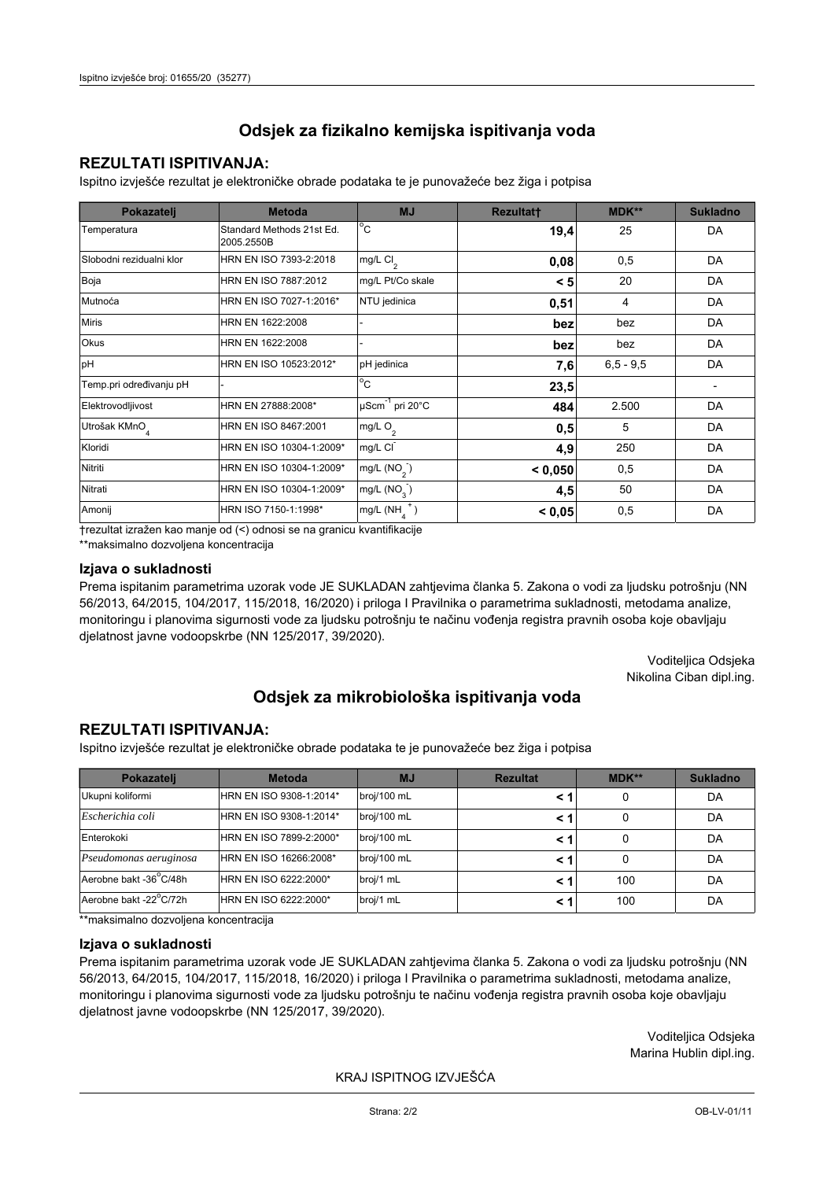## **REZULTATI ISPITIVANJA:**

Ispitno izviešće rezultat je elektroničke obrade podataka te je punovažeće bez žiga i potpisa

| Pokazatelj                | <b>Metoda</b>                           | <b>MJ</b>                   | <b>Rezultatt</b> | MDK**         | <b>Sukladno</b> |
|---------------------------|-----------------------------------------|-----------------------------|------------------|---------------|-----------------|
| Temperatura               | Standard Methods 21st Ed.<br>2005.2550B | $^{\circ}$ C                | 19,4             | 25            | DA              |
| Slobodni rezidualni klor  | HRN EN ISO 7393-2:2018                  | mg/L Cl <sub>2</sub>        | 0,08             | 0,5           | DA              |
| Boja                      | HRN EN ISO 7887:2012                    | mg/L Pt/Co skale            | < 5              | 20            | DA              |
| Mutnoća                   | HRN EN ISO 7027-1:2016*                 | NTU jedinica                | 0,51             | 4             | DA              |
| <b>Miris</b>              | HRN EN 1622:2008                        |                             | bez              | bez           | DA              |
| <b>Okus</b>               | HRN EN 1622:2008                        |                             | bez              | bez           | DA              |
| pH                        | HRN EN ISO 10523:2012*                  | pH jedinica                 | 7,6              | $6, 5 - 9, 5$ | DA              |
| Temp.pri određivanju pH   |                                         | $\overline{C}$              | 23,5             |               |                 |
| Elektrovodljivost         | HRN EN 27888:2008*                      | µScm <sup>-1</sup> pri 20°C | 484              | 2.500         | DA              |
| Utrošak KMnO <sub>4</sub> | HRN EN ISO 8467:2001                    | mg/L O <sub>2</sub>         | 0,5              | 5             | DA              |
| Kloridi                   | HRN EN ISO 10304-1:2009*                | mg/L CI                     | 4,9              | 250           | DA              |
| Nitriti                   | HRN EN ISO 10304-1:2009*                | mg/L $(NO2)$                | < 0.050          | 0,5           | DA              |
| Nitrati                   | HRN EN ISO 10304-1:2009*                | mg/L (NO <sub>3</sub> )     | 4,5              | 50            | DA              |
| Amonij                    | HRN ISO 7150-1:1998*                    | mg/L (NH                    | < 0,05           | 0,5           | DA              |

trezultat izražen kao manje od (<) odnosi se na granicu kvantifikacije

\*\*maksimalno dozvoljena koncentracija

#### Izjava o sukladnosti

Prema ispitanim parametrima uzorak vode JE SUKLADAN zahtievima članka 5. Zakona o vodi za ljudsku potrošnju (NN 56/2013, 64/2015, 104/2017, 115/2018, 16/2020) i priloga I Pravilnika o parametrima sukladnosti, metodama analize, monitoringu i planovima sigurnosti vode za ljudsku potrošnju te načinu vođenja registra pravnih osoba koje obavljaju djelatnost javne vodoopskrbe (NN 125/2017, 39/2020).

> Voditeljica Odsjeka Nikolina Ciban dipl.ing.

## Odsjek za mikrobiološka ispitivanja voda

## **REZULTATI ISPITIVANJA:**

Ispitno izvješće rezultat je elektroničke obrade podataka te je punovažeće bez žiga i potpisa

| Pokazatelj             | <b>Metoda</b>           | <b>MJ</b>   | <b>Rezultat</b> | MDK** | <b>Sukladno</b> |
|------------------------|-------------------------|-------------|-----------------|-------|-----------------|
| Ukupni koliformi       | HRN EN ISO 9308-1:2014* | broj/100 mL |                 | 0     | DA              |
| Escherichia coli       | HRN EN ISO 9308-1:2014* | broj/100 mL |                 | 0     | DA              |
| Enterokoki             | HRN EN ISO 7899-2:2000* | broj/100 mL |                 | 0     | DA              |
| Pseudomonas aeruginosa | HRN EN ISO 16266:2008*  | broj/100 mL | < 1             | 0     | DA              |
| Aerobne bakt -36 C/48h | HRN EN ISO 6222:2000*   | broj/1 mL   |                 | 100   | DA              |
| Aerobne bakt -22°C/72h | HRN EN ISO 6222:2000*   | broj/1 mL   |                 | 100   | DA              |

\*\*maksimalno dozvoljena koncentracija

## Izjava o sukladnosti

Prema ispitanim parametrima uzorak vode JE SUKLADAN zahtjevima članka 5. Zakona o vodi za ljudsku potrošnju (NN 56/2013, 64/2015, 104/2017, 115/2018, 16/2020) i priloga I Pravilnika o parametrima sukladnosti, metodama analize, monitoringu i planovima sigurnosti vode za ljudsku potrošnju te načinu vođenja registra pravnih osoba koje obavljaju dielatnost javne vodoopskrbe (NN 125/2017, 39/2020).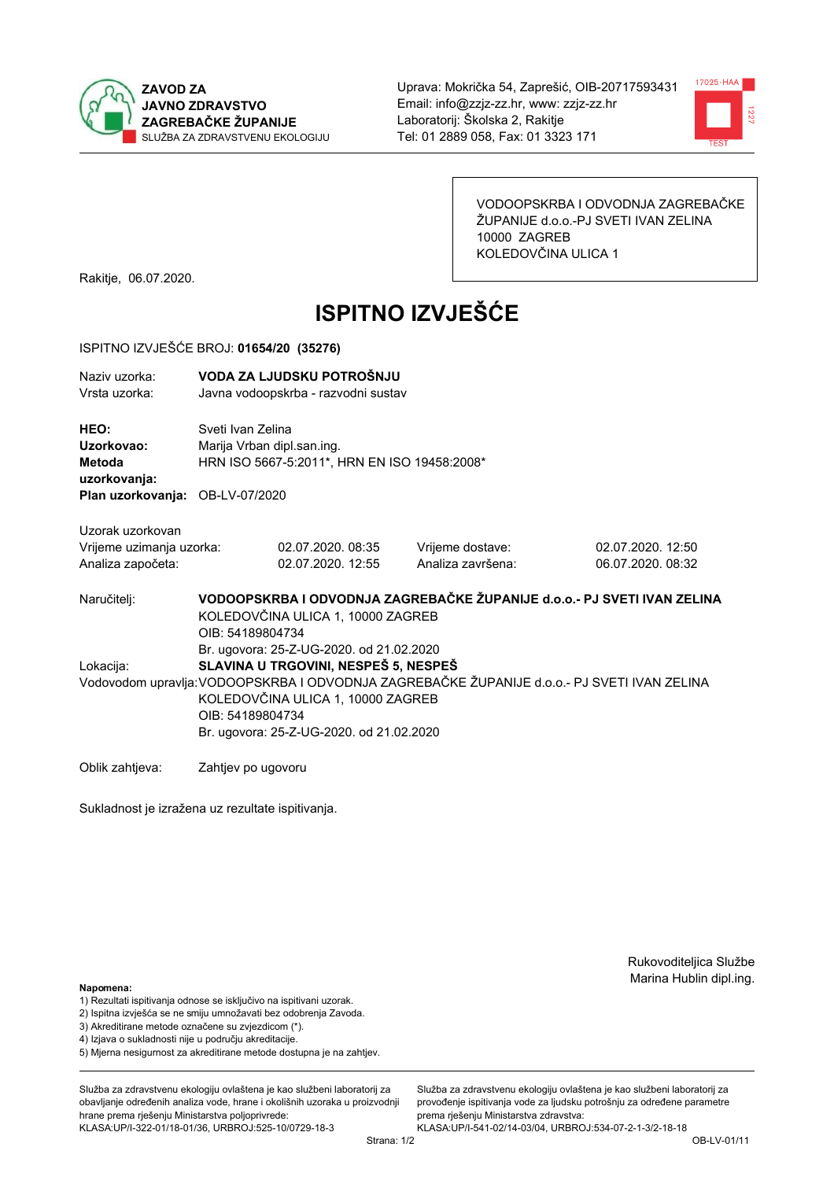



VODOOPSKRBA I ODVODNJA ZAGREBAČKE ŽUPANIJE d.o.o.-PJ SVETI IVAN ZELINA 10000 ZAGREB KOLEDOVČINA ULICA 1

Rakitje, 06.07.2020.

# **ISPITNO IZVJEŠĆE**

### ISPITNO IZVJEŠĆE BROJ: 01654/20 (35276)

| Naziv uzorka:<br>Vrsta uzorka:                                    | VODA ZA LJUDSKU POTROŠNJU<br>Javna vodoopskrba - razvodni sustav                                                                                                                                                                                                                     |                                                                                                 |                                       |                                        |  |  |  |
|-------------------------------------------------------------------|--------------------------------------------------------------------------------------------------------------------------------------------------------------------------------------------------------------------------------------------------------------------------------------|-------------------------------------------------------------------------------------------------|---------------------------------------|----------------------------------------|--|--|--|
| HEO:<br>Uzorkovao:<br>Metoda<br>uzorkovanja:                      |                                                                                                                                                                                                                                                                                      | Sveti Ivan Zelina<br>Marija Vrban dipl.san.ing.<br>HRN ISO 5667-5:2011*, HRN EN ISO 19458:2008* |                                       |                                        |  |  |  |
| Plan uzorkovanja: OB-LV-07/2020                                   |                                                                                                                                                                                                                                                                                      |                                                                                                 |                                       |                                        |  |  |  |
| Uzorak uzorkovan<br>Vrijeme uzimanja uzorka:<br>Analiza započeta: |                                                                                                                                                                                                                                                                                      | 02.07.2020, 08:35<br>02.07.2020. 12:55                                                          | Vrijeme dostave:<br>Analiza završena: | 02.07.2020. 12:50<br>06.07.2020. 08:32 |  |  |  |
| Naručitelj:                                                       | VODOOPSKRBA I ODVODNJA ZAGREBAČKE ŽUPANIJE d.o.o.- PJ SVETI IVAN ZELINA<br>KOLEDOVČINA ULICA 1, 10000 ZAGREB<br>OIB: 54189804734                                                                                                                                                     |                                                                                                 |                                       |                                        |  |  |  |
| Lokacija:                                                         | Br. ugovora: 25-Z-UG-2020. od 21.02.2020<br>SLAVINA U TRGOVINI, NESPEŠ 5, NESPEŠ<br>Vodovodom upravlja: VODOOPSKRBA I ODVODNJA ZAGREBAČKE ŽUPANIJE d.o.o.- PJ SVETI IVAN ZELINA<br>KOLEDOVČINA ULICA 1, 10000 ZAGREB<br>OIB: 54189804734<br>Br. ugovora: 25-Z-UG-2020. od 21.02.2020 |                                                                                                 |                                       |                                        |  |  |  |
| Oblik zahtjeva:                                                   | Zahtjev po ugovoru                                                                                                                                                                                                                                                                   |                                                                                                 |                                       |                                        |  |  |  |

Sukladnost je izražena uz rezultate ispitivanja.

Rukovoditeljica Službe Marina Hublin dipl.ing.

#### Napomena:

- 1) Rezultati ispitivanja odnose se isključivo na ispitivani uzorak.
- 2) Ispitna izvješća se ne smiju umnožavati bez odobrenja Zavoda.
- 3) Akreditirane metode označene su zvjezdicom (\*).
- 4) Iziava o sukladnosti nije u području akreditacije.
- 5) Mjerna nesigurnost za akreditirane metode dostupna je na zahtjev.

Služba za zdravstvenu ekologiju ovlaštena je kao službeni laboratorij za obavlianie određenih analiza vode, hrane i okolišnih uzoraka u proizvodniji hrane prema rješenju Ministarstva poljoprivrede: KLASA:UP/I-322-01/18-01/36, URBROJ:525-10/0729-18-3

Strana: 1/2

Služba za zdravstvenu ekologiju ovlaštena je kao službeni laboratorij za provođenie ispitivania vode za liudsku potrošniu za određene parametre prema rješenju Ministarstva zdravstva: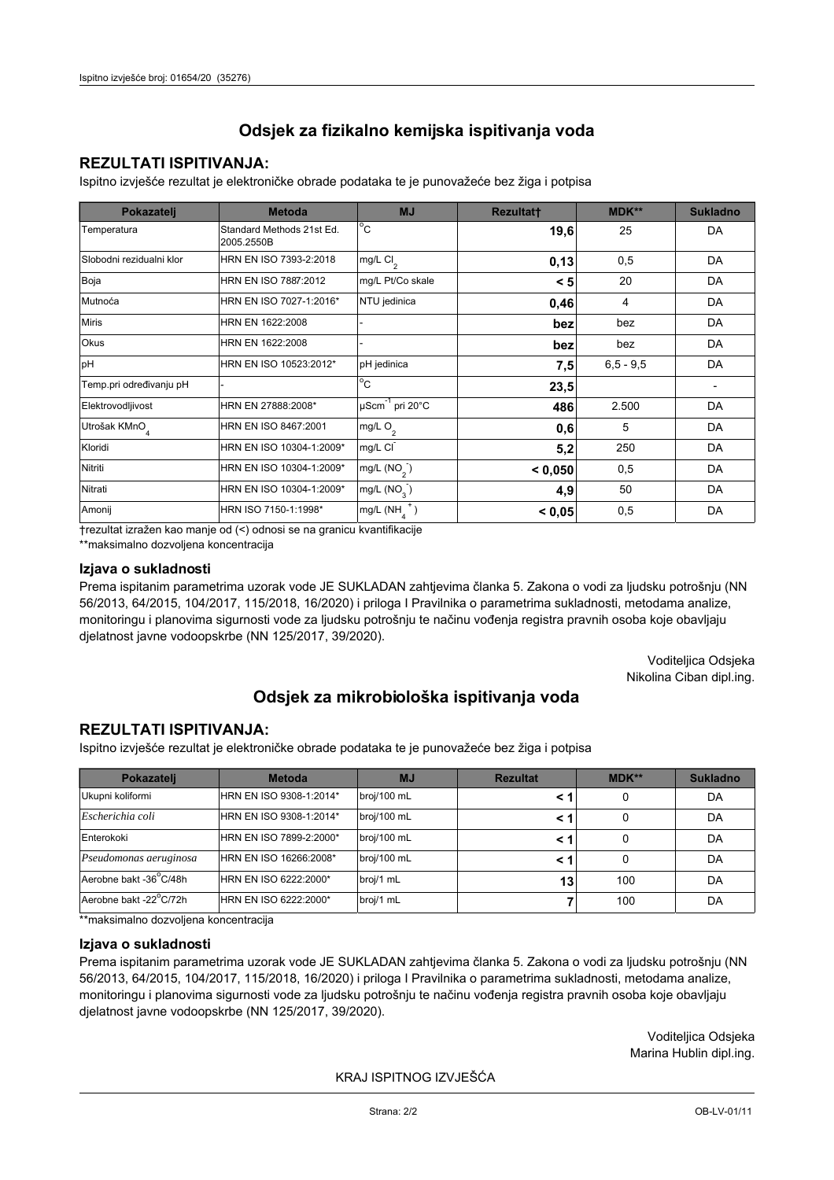## **REZULTATI ISPITIVANJA:**

Ispitno izviešće rezultat je elektroničke obrade podataka te je punovažeće bez žiga i potpisa

| Pokazatelj                | <b>Metoda</b>                           | <b>MJ</b>                   | <b>Rezultatt</b> | MDK**         | <b>Sukladno</b> |
|---------------------------|-----------------------------------------|-----------------------------|------------------|---------------|-----------------|
| Temperatura               | Standard Methods 21st Ed.<br>2005.2550B | $^{\circ}$ C                | 19,6             | 25            | DA              |
| Slobodni rezidualni klor  | HRN EN ISO 7393-2:2018                  | mg/L Cl <sub>2</sub>        | 0,13             | 0,5           | DA              |
| Boja                      | HRN EN ISO 7887:2012                    | mg/L Pt/Co skale            | < 5              | 20            | DA              |
| Mutnoća                   | HRN EN ISO 7027-1:2016*                 | NTU jedinica                | 0,46             | 4             | DA              |
| <b>Miris</b>              | HRN EN 1622:2008                        |                             | bez              | bez           | DA              |
| <b>Okus</b>               | HRN EN 1622:2008                        |                             | bez              | bez           | DA              |
| pH                        | HRN EN ISO 10523:2012*                  | pH jedinica                 | 7,5              | $6, 5 - 9, 5$ | DA              |
| Temp.pri određivanju pH   |                                         | $\overline{C}$              | 23,5             |               |                 |
| Elektrovodljivost         | HRN EN 27888:2008*                      | µScm <sup>-1</sup> pri 20°C | 486              | 2.500         | DA              |
| Utrošak KMnO <sub>4</sub> | HRN EN ISO 8467:2001                    | mg/L O <sub>2</sub>         | 0,6              | 5             | DA              |
| Kloridi                   | HRN EN ISO 10304-1:2009*                | mg/L CI                     | 5,2              | 250           | DA              |
| Nitriti                   | HRN EN ISO 10304-1:2009*                | mg/L $(NO2)$                | < 0,050          | 0,5           | DA              |
| Nitrati                   | HRN EN ISO 10304-1:2009*                | mg/L (NO <sub>3</sub> )     | 4,9              | 50            | DA              |
| Amonij                    | HRN ISO 7150-1:1998*                    | mg/L (NH                    | < 0,05           | 0,5           | DA              |

trezultat izražen kao manje od (<) odnosi se na granicu kvantifikacije

\*\*maksimalno dozvoljena koncentracija

## Izjava o sukladnosti

Prema ispitanim parametrima uzorak vode JE SUKLADAN zahtievima članka 5. Zakona o vodi za ljudsku potrošnju (NN 56/2013, 64/2015, 104/2017, 115/2018, 16/2020) i priloga I Pravilnika o parametrima sukladnosti, metodama analize, monitoringu i planovima sigurnosti vode za ljudsku potrošnju te načinu vođenja registra pravnih osoba koje obavljaju djelatnost javne vodoopskrbe (NN 125/2017, 39/2020).

> Voditeljica Odsjeka Nikolina Ciban dipl.ing.

## Odsjek za mikrobiološka ispitivanja voda

## **REZULTATI ISPITIVANJA:**

Ispitno izvješće rezultat je elektroničke obrade podataka te je punovažeće bez žiga i potpisa

| Pokazatelj             | <b>Metoda</b>           | <b>MJ</b>   | <b>Rezultat</b> | MDK** | <b>Sukladno</b> |
|------------------------|-------------------------|-------------|-----------------|-------|-----------------|
| Ukupni koliformi       | HRN EN ISO 9308-1:2014* | broj/100 mL |                 | 0     | DA              |
| Escherichia coli       | HRN EN ISO 9308-1:2014* | broj/100 mL |                 | 0     | DA              |
| Enterokoki             | HRN EN ISO 7899-2:2000* | broj/100 mL |                 | 0     | DA              |
| Pseudomonas aeruginosa | HRN EN ISO 16266:2008*  | broj/100 mL | < 1             | 0     | DA              |
| Aerobne bakt -36 C/48h | HRN EN ISO 6222:2000*   | broj/1 mL   | 13              | 100   | DA              |
| Aerobne bakt -22°C/72h | HRN EN ISO 6222:2000*   | broj/1 mL   |                 | 100   | DA              |

\*\*maksimalno dozvoljena koncentracija

#### Izjava o sukladnosti

Prema ispitanim parametrima uzorak vode JE SUKLADAN zahtjevima članka 5. Zakona o vodi za ljudsku potrošnju (NN 56/2013, 64/2015, 104/2017, 115/2018, 16/2020) i priloga I Pravilnika o parametrima sukladnosti, metodama analize, monitoringu i planovima sigurnosti vode za ljudsku potrošnju te načinu vođenja registra pravnih osoba koje obavljaju dielatnost javne vodoopskrbe (NN 125/2017, 39/2020).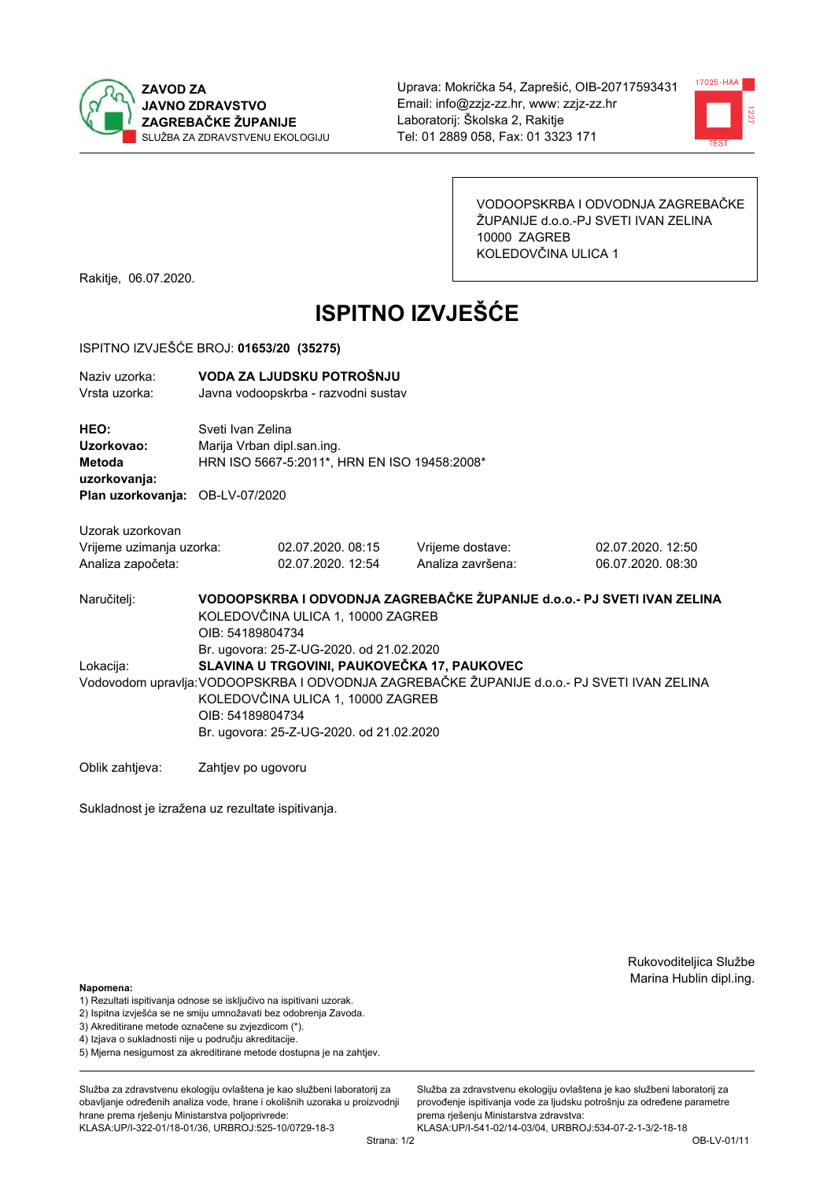



VODOOPSKRBA I ODVODNJA ZAGREBAČKE ŽUPANIJE d.o.o.-PJ SVETI IVAN ZELINA 10000 ZAGREB KOLEDOVČINA ULICA 1

Rakitje, 06.07.2020.

# **ISPITNO IZVJEŠĆE**

### ISPITNO IZVJEŠĆE BROJ: 01653/20 (35275)

| Naziv uzorka:<br>Vrsta uzorka:                                                  | VODA ZA LJUDSKU POTROŠNJU<br>Javna vodoopskrba - razvodni sustav                                                                                                                                 |                                             |                                       |                                        |  |
|---------------------------------------------------------------------------------|--------------------------------------------------------------------------------------------------------------------------------------------------------------------------------------------------|---------------------------------------------|---------------------------------------|----------------------------------------|--|
| HEO:<br>Uzorkovao:<br>Metoda<br>uzorkovanja:<br>Plan uzorkovanja: OB-LV-07/2020 | Sveti Ivan Zelina<br>Marija Vrban dipl.san.ing.<br>HRN ISO 5667-5:2011*, HRN EN ISO 19458:2008*                                                                                                  |                                             |                                       |                                        |  |
|                                                                                 |                                                                                                                                                                                                  |                                             |                                       |                                        |  |
| Uzorak uzorkovan<br>Vrijeme uzimanja uzorka:<br>Analiza započeta:               |                                                                                                                                                                                                  | 02.07.2020, 08:15<br>02.07.2020. 12:54      | Vrijeme dostave:<br>Analiza završena: | 02.07.2020. 12:50<br>06.07.2020. 08:30 |  |
| Naručitelj:                                                                     | VODOOPSKRBA I ODVODNJA ZAGREBAČKE ŽUPANIJE d.o.o.- PJ SVETI IVAN ZELINA<br>KOLEDOVČINA ULICA 1, 10000 ZAGREB<br>OIB: 54189804734<br>Br. ugovora: 25-Z-UG-2020. od 21.02.2020                     |                                             |                                       |                                        |  |
| Lokacija:                                                                       |                                                                                                                                                                                                  | SLAVINA U TRGOVINI, PAUKOVEČKA 17, PAUKOVEC |                                       |                                        |  |
|                                                                                 | Vodovodom upravlja: VODOOPSKRBA I ODVODNJA ZAGREBAČKE ŽUPANIJE d.o.o.- PJ SVETI IVAN ZELINA<br>KOLEDOVČINA ULICA 1, 10000 ZAGREB<br>OIB: 54189804734<br>Br. ugovora: 25-Z-UG-2020. od 21.02.2020 |                                             |                                       |                                        |  |
| Oblik zahtjeva:                                                                 | Zahtjev po ugovoru                                                                                                                                                                               |                                             |                                       |                                        |  |

Sukladnost je izražena uz rezultate ispitivanja.

Rukovoditeljica Službe Marina Hublin dipl.ing.

## Napomena:

- 1) Rezultati ispitivanja odnose se isključivo na ispitivani uzorak.
- 2) Ispitna izvješća se ne smiju umnožavati bez odobrenja Zavoda.
- 3) Akreditirane metode označene su zvjezdicom (\*).
- 4) Iziava o sukladnosti nije u području akreditacije.
- 5) Mjerna nesigurnost za akreditirane metode dostupna je na zahtjev.

Služba za zdravstvenu ekologiju ovlaštena je kao službeni laboratorij za obavlianie određenih analiza vode, hrane i okolišnih uzoraka u proizvodniji hrane prema rješenju Ministarstva poljoprivrede: KLASA:UP/I-322-01/18-01/36, URBROJ:525-10/0729-18-3

Služba za zdravstvenu ekologiju ovlaštena je kao službeni laboratorij za provođenie ispitivania vode za liudsku potrošniu za određene parametre prema rješenju Ministarstva zdravstva: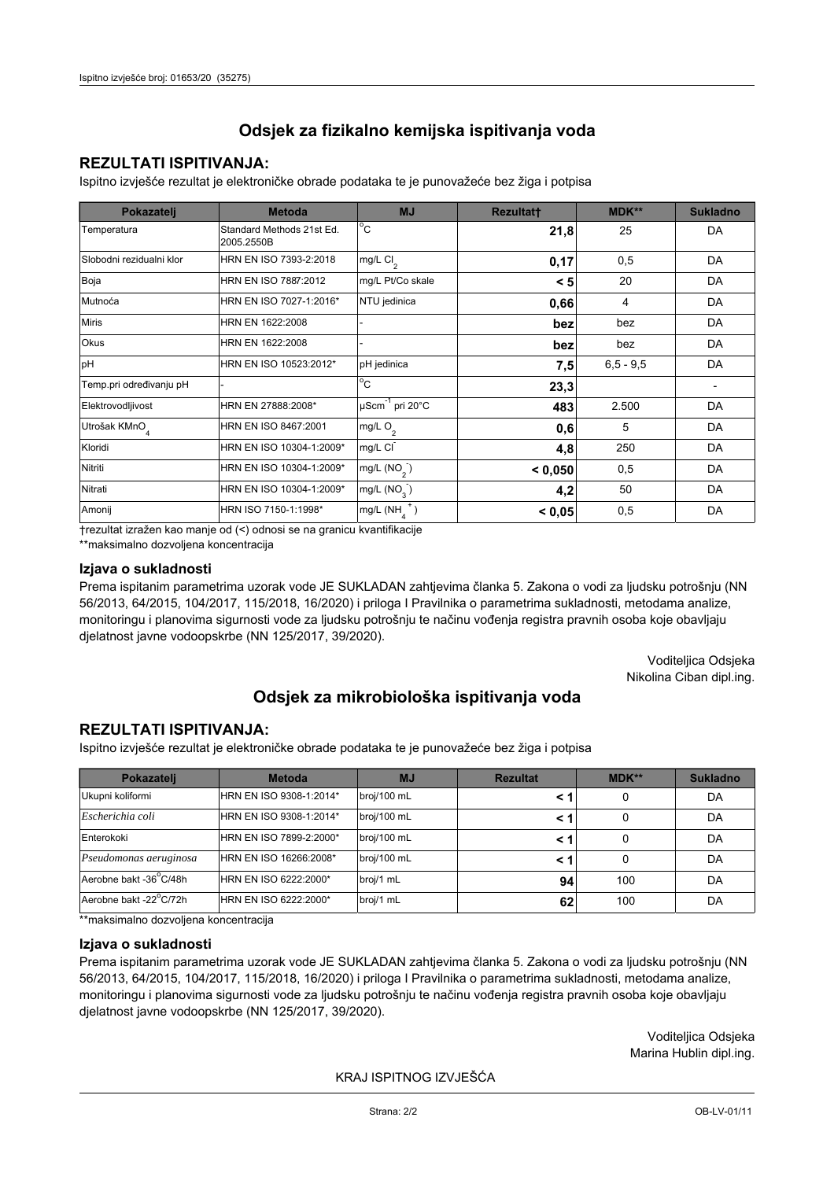## **REZULTATI ISPITIVANJA:**

Ispitno izviešće rezultat je elektroničke obrade podataka te je punovažeće bez žiga i potpisa

| Pokazatelj                | <b>Metoda</b>                           | <b>MJ</b>                   | <b>Rezultatt</b> | MDK**         | <b>Sukladno</b> |
|---------------------------|-----------------------------------------|-----------------------------|------------------|---------------|-----------------|
| Temperatura               | Standard Methods 21st Ed.<br>2005.2550B | $^{\circ}$ C                | 21,8             | 25            | DA              |
| Slobodni rezidualni klor  | HRN EN ISO 7393-2:2018                  | mg/L Cl <sub>2</sub>        | 0,17             | 0,5           | DA              |
| Boja                      | HRN EN ISO 7887:2012                    | mg/L Pt/Co skale            | < 5              | 20            | DA              |
| Mutnoća                   | HRN EN ISO 7027-1:2016*                 | NTU jedinica                | 0,66             | 4             | DA              |
| <b>Miris</b>              | HRN EN 1622:2008                        |                             | bez              | bez           | DA              |
| <b>Okus</b>               | HRN EN 1622:2008                        |                             | bez              | bez           | DA              |
| pH                        | HRN EN ISO 10523:2012*                  | pH jedinica                 | 7,5              | $6, 5 - 9, 5$ | DA              |
| Temp.pri određivanju pH   |                                         | $\overline{C}$              | 23,3             |               |                 |
| Elektrovodljivost         | HRN EN 27888:2008*                      | µScm <sup>-1</sup> pri 20°C | 483              | 2.500         | DA              |
| Utrošak KMnO <sub>4</sub> | HRN EN ISO 8467:2001                    | mg/L O <sub>2</sub>         | 0,6              | 5             | DA              |
| Kloridi                   | HRN EN ISO 10304-1:2009*                | mg/L CI                     | 4,8              | 250           | DA              |
| Nitriti                   | HRN EN ISO 10304-1:2009*                | mg/L $(NO2)$                | < 0,050          | 0,5           | DA              |
| Nitrati                   | HRN EN ISO 10304-1:2009*                | mg/L (NO <sub>3</sub> )     | 4,2              | 50            | DA              |
| Amonij                    | HRN ISO 7150-1:1998*                    | mg/L (NH                    | < 0,05           | 0,5           | DA              |

trezultat izražen kao manje od (<) odnosi se na granicu kvantifikacije

\*\*maksimalno dozvoljena koncentracija

#### Izjava o sukladnosti

Prema ispitanim parametrima uzorak vode JE SUKLADAN zahtievima članka 5. Zakona o vodi za ljudsku potrošnju (NN 56/2013, 64/2015, 104/2017, 115/2018, 16/2020) i priloga I Pravilnika o parametrima sukladnosti, metodama analize, monitoringu i planovima sigurnosti vode za ljudsku potrošnju te načinu vođenja registra pravnih osoba koje obavljaju djelatnost javne vodoopskrbe (NN 125/2017, 39/2020).

> Voditeljica Odsjeka Nikolina Ciban dipl.ing.

## Odsjek za mikrobiološka ispitivanja voda

## **REZULTATI ISPITIVANJA:**

Ispitno izvješće rezultat je elektroničke obrade podataka te je punovažeće bez žiga i potpisa

| Pokazatelj             | <b>Metoda</b>           | <b>MJ</b>   | <b>Rezultat</b> | MDK** | <b>Sukladno</b> |
|------------------------|-------------------------|-------------|-----------------|-------|-----------------|
| Ukupni koliformi       | HRN EN ISO 9308-1:2014* | broj/100 mL |                 | 0     | DA              |
| Escherichia coli       | HRN EN ISO 9308-1:2014* | broj/100 mL |                 | 0     | DA              |
| Enterokoki             | HRN EN ISO 7899-2:2000* | broj/100 mL |                 | 0     | DA              |
| Pseudomonas aeruginosa | HRN EN ISO 16266:2008*  | broj/100 mL | < 1             | 0     | DA              |
| Aerobne bakt -36 C/48h | HRN EN ISO 6222:2000*   | broj/1 mL   | 94              | 100   | DA              |
| Aerobne bakt -22°C/72h | HRN EN ISO 6222:2000*   | broj/1 mL   | 62              | 100   | DA              |

\*\*maksimalno dozvoljena koncentracija

## Izjava o sukladnosti

Prema ispitanim parametrima uzorak vode JE SUKLADAN zahtjevima članka 5. Zakona o vodi za ljudsku potrošnju (NN 56/2013, 64/2015, 104/2017, 115/2018, 16/2020) i priloga I Pravilnika o parametrima sukladnosti, metodama analize, monitoringu i planovima sigurnosti vode za ljudsku potrošnju te načinu vođenja registra pravnih osoba koje obavljaju dielatnost javne vodoopskrbe (NN 125/2017, 39/2020).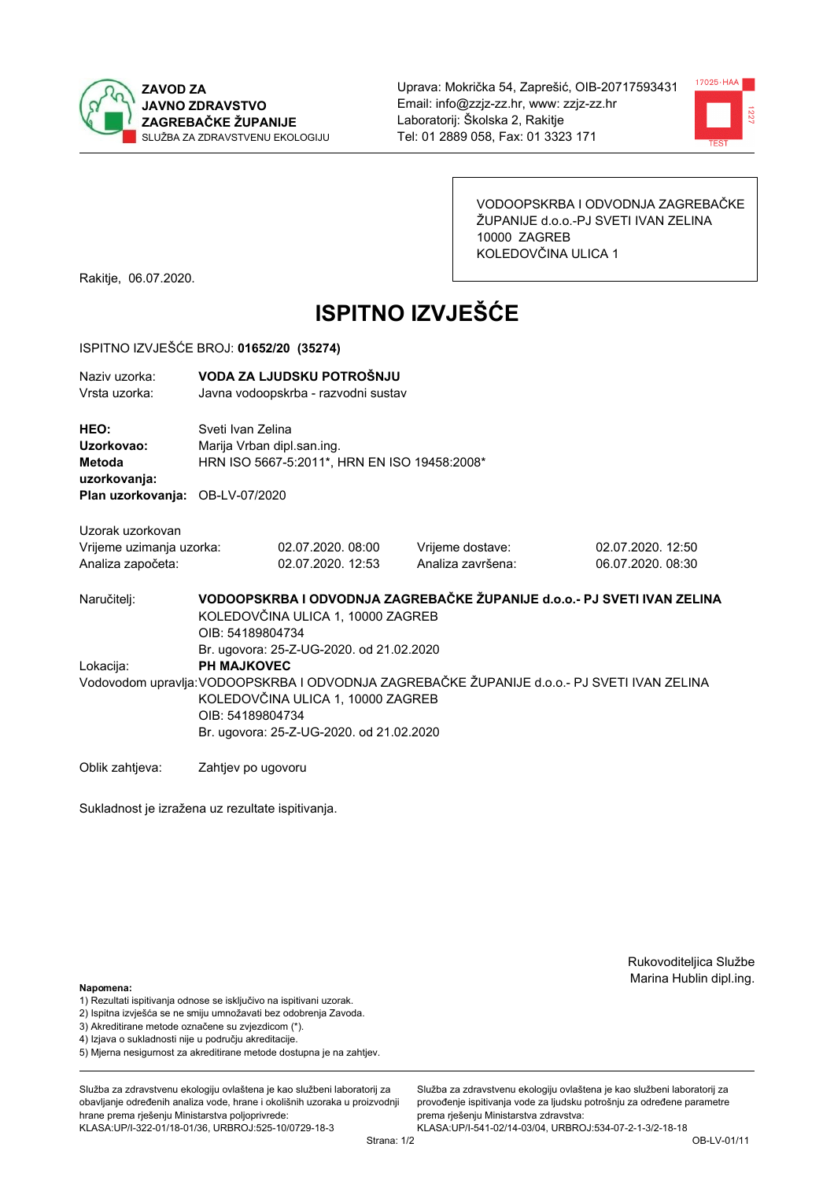



VODOOPSKRBA I ODVODNJA ZAGREBAČKE ŽUPANIJE d.o.o.-PJ SVETI IVAN ZELINA 10000 ZAGREB KOLEDOVČINA ULICA 1

Rakitje, 06.07.2020.

# **ISPITNO IZVJEŠĆE**

### ISPITNO IZVJEŠĆE BROJ: 01652/20 (35274)

| Naziv uzorka:<br>Vrsta uzorka:                                    | VODA ZA LJUDSKU POTROŠNJU<br>Javna vodoopskrba - razvodni sustav                                                                                                                                                       |                                        |                                       |                                        |  |
|-------------------------------------------------------------------|------------------------------------------------------------------------------------------------------------------------------------------------------------------------------------------------------------------------|----------------------------------------|---------------------------------------|----------------------------------------|--|
| HEO:<br>Uzorkovao:<br>Metoda<br>uzorkovanja:<br>Plan uzorkovanja: | Sveti Ivan Zelina<br>Marija Vrban dipl.san.ing.<br>HRN ISO 5667-5:2011*, HRN EN ISO 19458:2008*<br>OB-LV-07/2020                                                                                                       |                                        |                                       |                                        |  |
| Uzorak uzorkovan<br>Vrijeme uzimanja uzorka:<br>Analiza započeta: |                                                                                                                                                                                                                        | 02.07.2020, 08:00<br>02.07.2020. 12:53 | Vrijeme dostave:<br>Analiza završena: | 02.07.2020. 12:50<br>06.07.2020. 08:30 |  |
| Naručitelj:                                                       | VODOOPSKRBA I ODVODNJA ZAGREBAČKE ŽUPANIJE d.o.o.- PJ SVETI IVAN ZELINA<br>KOLEDOVČINA ULICA 1, 10000 ZAGREB<br>OIB: 54189804734                                                                                       |                                        |                                       |                                        |  |
| Lokacija:                                                         | Br. ugovora: 25-Z-UG-2020. od 21.02.2020<br><b>PH MAJKOVEC</b><br>Vodovodom upravlja: VODOOPSKRBA I ODVODNJA ZAGREBAČKE ŽUPANIJE d.o.o.- PJ SVETI IVAN ZELINA<br>KOLEDOVČINA ULICA 1, 10000 ZAGREB<br>OIB: 54189804734 |                                        |                                       |                                        |  |
|                                                                   | Br. ugovora: 25-Z-UG-2020. od 21.02.2020                                                                                                                                                                               |                                        |                                       |                                        |  |

Oblik zahtjeva: Zahtjev po ugovoru

Sukladnost je izražena uz rezultate ispitivanja.

Rukovoditeljica Službe Marina Hublin dipl.ing.

#### Napomena:

- 1) Rezultati ispitivanja odnose se isključivo na ispitivani uzorak.
- 2) Ispitna izvješća se ne smiju umnožavati bez odobrenja Zavoda.
- 3) Akreditirane metode označene su zvjezdicom (\*).
- 4) Iziava o sukladnosti nije u području akreditacije.
- 5) Mjerna nesigurnost za akreditirane metode dostupna je na zahtjev.

Služba za zdravstvenu ekologiju ovlaštena je kao službeni laboratorij za obavlianie određenih analiza vode, hrane i okolišnih uzoraka u proizvodniji hrane prema rješenju Ministarstva poljoprivrede: KLASA:UP/I-322-01/18-01/36, URBROJ:525-10/0729-18-3

Služba za zdravstvenu ekologiju ovlaštena je kao službeni laboratorij za provođenie ispitivania vode za liudsku potrošniu za određene parametre prema rješenju Ministarstva zdravstva: